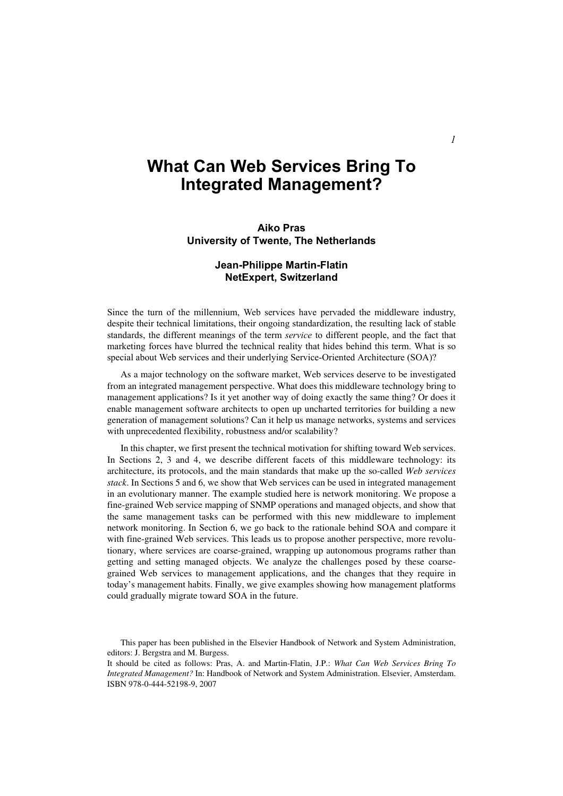# **What Can Web Services Bring To Integrated Management?**

## **Aiko Pras University of Twente, The Netherlands**

## **Jean-Philippe Martin-Flatin NetExpert, Switzerland**

Since the turn of the millennium, Web services have pervaded the middleware industry, despite their technical limitations, their ongoing standardization, the resulting lack of stable standards, the different meanings of the term *service* to different people, and the fact that marketing forces have blurred the technical reality that hides behind this term. What is so special about Web services and their underlying Service-Oriented Architecture (SOA)?

As a major technology on the software market, Web services deserve to be investigated from an integrated management perspective. What does this middleware technology bring to management applications? Is it yet another way of doing exactly the same thing? Or does it enable management software architects to open up uncharted territories for building a new generation of management solutions? Can it help us manage networks, systems and services with unprecedented flexibility, robustness and/or scalability?

In this chapter, we first present the technical motivation for shifting toward Web services. In Sections [2](#page-5-0), [3](#page-9-0) and [4,](#page-13-0) we describe different facets of this middleware technology: its architecture, its protocols, and the main standards that make up the so-called *Web services stack*. In Sections [5](#page-16-0) and [6](#page-33-0), we show that Web services can be used in integrated management in an evolutionary manner. The example studied here is network monitoring. We propose a fine-grained Web service mapping of SNMP operations and managed objects, and show that the same management tasks can be performed with this new middleware to implement network monitoring. In [Section 6,](#page-33-0) we go back to the rationale behind SOA and compare it with fine-grained Web services. This leads us to propose another perspective, more revolutionary, where services are coarse-grained, wrapping up autonomous programs rather than getting and setting managed objects. We analyze the challenges posed by these coarsegrained Web services to management applications, and the changes that they require in today's management habits. Finally, we give examples showing how management platforms could gradually migrate toward SOA in the future.

This paper has been published in the Elsevier Handbook of Network and System Administration, editors: J. Bergstra and M. Burgess.

It should be cited as follows: Pras, A. and Martin-Flatin, J.P.: *What Can Web Services Bring To Integrated Management?* In: Handbook of Network and System Administration. Elsevier, Amsterdam. ISBN 978-0-444-52198-9, 2007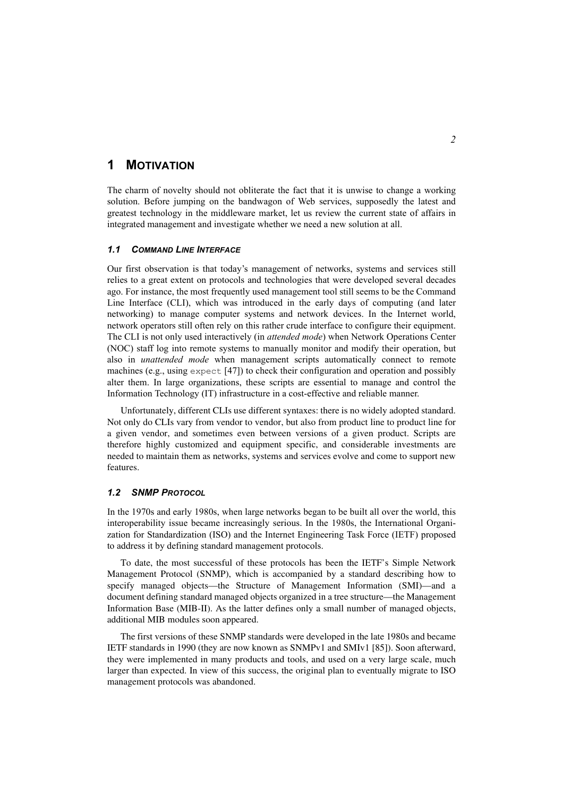## **1 MOTIVATION**

The charm of novelty should not obliterate the fact that it is unwise to change a working solution. Before jumping on the bandwagon of Web services, supposedly the latest and greatest technology in the middleware market, let us review the current state of affairs in integrated management and investigate whether we need a new solution at all.

### *1.1 COMMAND LINE INTERFACE*

Our first observation is that today's management of networks, systems and services still relies to a great extent on protocols and technologies that were developed several decades ago. For instance, the most frequently used management tool still seems to be the Command Line Interface (CLI), which was introduced in the early days of computing (and later networking) to manage computer systems and network devices. In the Internet world, network operators still often rely on this rather crude interface to configure their equipment. The CLI is not only used interactively (in *attended mode*) when Network Operations Center (NOC) staff log into remote systems to manually monitor and modify their operation, but also in *unattended mode* when management scripts automatically connect to remote machines (e.g., using expect  $[47]$ ) to check their configuration and operation and possibly alter them. In large organizations, these scripts are essential to manage and control the Information Technology (IT) infrastructure in a cost-effective and reliable manner.

Unfortunately, different CLIs use different syntaxes: there is no widely adopted standard. Not only do CLIs vary from vendor to vendor, but also from product line to product line for a given vendor, and sometimes even between versions of a given product. Scripts are therefore highly customized and equipment specific, and considerable investments are needed to maintain them as networks, systems and services evolve and come to support new features.

## <span id="page-1-0"></span>*1.2 SNMP PROTOCOL*

In the 1970s and early 1980s, when large networks began to be built all over the world, this interoperability issue became increasingly serious. In the 1980s, the International Organization for Standardization (ISO) and the Internet Engineering Task Force (IETF) proposed to address it by defining standard management protocols.

To date, the most successful of these protocols has been the IETF's Simple Network Management Protocol (SNMP), which is accompanied by a standard describing how to specify managed objects—the Structure of Management Information (SMI)—and a document defining standard managed objects organized in a tree structure—the Management Information Base (MIB-II). As the latter defines only a small number of managed objects, additional MIB modules soon appeared.

The first versions of these SNMP standards were developed in the late 1980s and became IETF standards in 1990 (they are now known as SNMPv1 and SMIv1 [85]). Soon afterward, they were implemented in many products and tools, and used on a very large scale, much larger than expected. In view of this success, the original plan to eventually migrate to ISO management protocols was abandoned.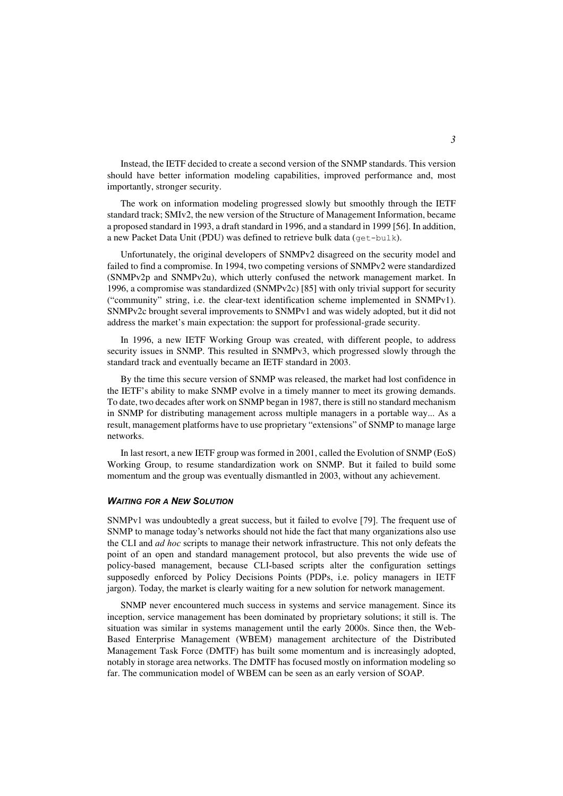Instead, the IETF decided to create a second version of the SNMP standards. This version should have better information modeling capabilities, improved performance and, most importantly, stronger security.

The work on information modeling progressed slowly but smoothly through the IETF standard track; SMIv2, the new version of the Structure of Management Information, became a proposed standard in 1993, a draft standard in 1996, and a standard in 1999 [56]. In addition, a new Packet Data Unit (PDU) was defined to retrieve bulk data (get-bulk).

Unfortunately, the original developers of SNMPv2 disagreed on the security model and failed to find a compromise. In 1994, two competing versions of SNMPv2 were standardized (SNMPv2p and SNMPv2u), which utterly confused the network management market. In 1996, a compromise was standardized (SNMPv2c) [85] with only trivial support for security ("community" string, i.e. the clear-text identification scheme implemented in SNMPv1). SNMPv2c brought several improvements to SNMPv1 and was widely adopted, but it did not address the market's main expectation: the support for professional-grade security.

In 1996, a new IETF Working Group was created, with different people, to address security issues in SNMP. This resulted in SNMPv3, which progressed slowly through the standard track and eventually became an IETF standard in 2003.

By the time this secure version of SNMP was released, the market had lost confidence in the IETF's ability to make SNMP evolve in a timely manner to meet its growing demands. To date, two decades after work on SNMP began in 1987, there is still no standard mechanism in SNMP for distributing management across multiple managers in a portable way... As a result, management platforms have to use proprietary "extensions" of SNMP to manage large networks.

In last resort, a new IETF group was formed in 2001, called the Evolution of SNMP (EoS) Working Group, to resume standardization work on SNMP. But it failed to build some momentum and the group was eventually dismantled in 2003, without any achievement.

### *WAITING FOR A NEW SOLUTION*

SNMPv1 was undoubtedly a great success, but it failed to evolve [79]. The frequent use of SNMP to manage today's networks should not hide the fact that many organizations also use the CLI and *ad hoc* scripts to manage their network infrastructure. This not only defeats the point of an open and standard management protocol, but also prevents the wide use of policy-based management, because CLI-based scripts alter the configuration settings supposedly enforced by Policy Decisions Points (PDPs, i.e. policy managers in IETF jargon). Today, the market is clearly waiting for a new solution for network management.

SNMP never encountered much success in systems and service management. Since its inception, service management has been dominated by proprietary solutions; it still is. The situation was similar in systems management until the early 2000s. Since then, the Web-Based Enterprise Management (WBEM) management architecture of the Distributed Management Task Force (DMTF) has built some momentum and is increasingly adopted, notably in storage area networks. The DMTF has focused mostly on information modeling so far. The communication model of WBEM can be seen as an early version of SOAP.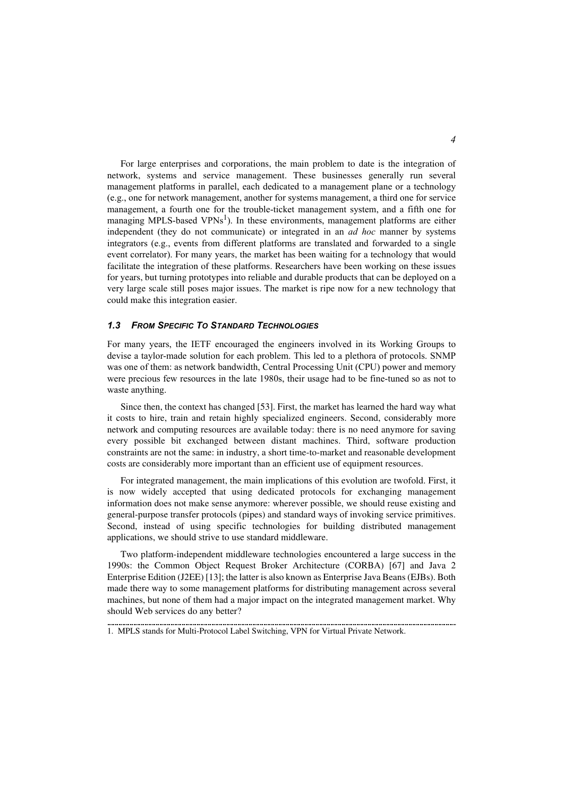For large enterprises and corporations, the main problem to date is the integration of network, systems and service management. These businesses generally run several management platforms in parallel, each dedicated to a management plane or a technology (e.g., one for network management, another for systems management, a third one for service management, a fourth one for the trouble-ticket management system, and a fifth one for managing MPLS-based  $VPNs<sup>1</sup>$ ). In these environments, management platforms are either independent (they do not communicate) or integrated in an *ad hoc* manner by systems integrators (e.g., events from different platforms are translated and forwarded to a single event correlator). For many years, the market has been waiting for a technology that would facilitate the integration of these platforms. Researchers have been working on these issues for years, but turning prototypes into reliable and durable products that can be deployed on a very large scale still poses major issues. The market is ripe now for a new technology that could make this integration easier.

## *1.3 FROM SPECIFIC TO STANDARD TECHNOLOGIES*

For many years, the IETF encouraged the engineers involved in its Working Groups to devise a taylor-made solution for each problem. This led to a plethora of protocols. SNMP was one of them: as network bandwidth, Central Processing Unit (CPU) power and memory were precious few resources in the late 1980s, their usage had to be fine-tuned so as not to waste anything.

Since then, the context has changed [53]. First, the market has learned the hard way what it costs to hire, train and retain highly specialized engineers. Second, considerably more network and computing resources are available today: there is no need anymore for saving every possible bit exchanged between distant machines. Third, software production constraints are not the same: in industry, a short time-to-market and reasonable development costs are considerably more important than an efficient use of equipment resources.

For integrated management, the main implications of this evolution are twofold. First, it is now widely accepted that using dedicated protocols for exchanging management information does not make sense anymore: wherever possible, we should reuse existing and general-purpose transfer protocols (pipes) and standard ways of invoking service primitives. Second, instead of using specific technologies for building distributed management applications, we should strive to use standard middleware.

Two platform-independent middleware technologies encountered a large success in the 1990s: the Common Object Request Broker Architecture (CORBA) [67] and Java 2 Enterprise Edition (J2EE) [13]; the latter is also known as Enterprise Java Beans (EJBs). Both made there way to some management platforms for distributing management across several machines, but none of them had a major impact on the integrated management market. Why should Web services do any better?

<sup>1.</sup> MPLS stands for Multi-Protocol Label Switching, VPN for Virtual Private Network.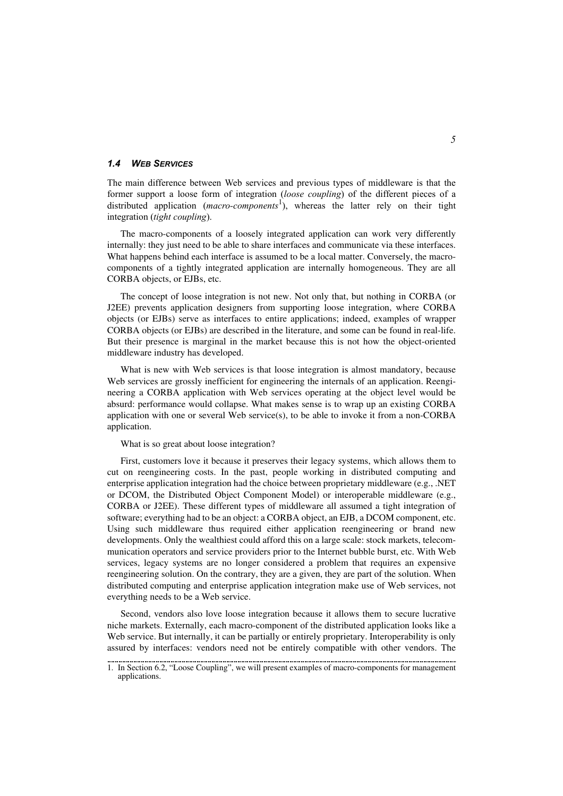### *1.4 WEB SERVICES*

The main difference between Web services and previous types of middleware is that the former support a loose form of integration (*loose coupling*) of the different pieces of a distributed application (*macro-components*1), whereas the latter rely on their tight integration (*tight coupling*).

The macro-components of a loosely integrated application can work very differently internally: they just need to be able to share interfaces and communicate via these interfaces. What happens behind each interface is assumed to be a local matter. Conversely, the macrocomponents of a tightly integrated application are internally homogeneous. They are all CORBA objects, or EJBs, etc.

The concept of loose integration is not new. Not only that, but nothing in CORBA (or J2EE) prevents application designers from supporting loose integration, where CORBA objects (or EJBs) serve as interfaces to entire applications; indeed, examples of wrapper CORBA objects (or EJBs) are described in the literature, and some can be found in real-life. But their presence is marginal in the market because this is not how the object-oriented middleware industry has developed.

What is new with Web services is that loose integration is almost mandatory, because Web services are grossly inefficient for engineering the internals of an application. Reengineering a CORBA application with Web services operating at the object level would be absurd: performance would collapse. What makes sense is to wrap up an existing CORBA application with one or several Web service(s), to be able to invoke it from a non-CORBA application.

What is so great about loose integration?

First, customers love it because it preserves their legacy systems, which allows them to cut on reengineering costs. In the past, people working in distributed computing and enterprise application integration had the choice between proprietary middleware (e.g., .NET or DCOM, the Distributed Object Component Model) or interoperable middleware (e.g., CORBA or J2EE). These different types of middleware all assumed a tight integration of software; everything had to be an object: a CORBA object, an EJB, a DCOM component, etc. Using such middleware thus required either application reengineering or brand new developments. Only the wealthiest could afford this on a large scale: stock markets, telecommunication operators and service providers prior to the Internet bubble burst, etc. With Web services, legacy systems are no longer considered a problem that requires an expensive reengineering solution. On the contrary, they are a given, they are part of the solution. When distributed computing and enterprise application integration make use of Web services, not everything needs to be a Web service.

Second, vendors also love loose integration because it allows them to secure lucrative niche markets. Externally, each macro-component of the distributed application looks like a Web service. But internally, it can be partially or entirely proprietary. Interoperability is only assured by interfaces: vendors need not be entirely compatible with other vendors. The

<sup>1.</sup> In [Section 6.2,](#page-37-0) ["Loose Coupling"](#page-37-1), we will present examples of macro-components for management applications.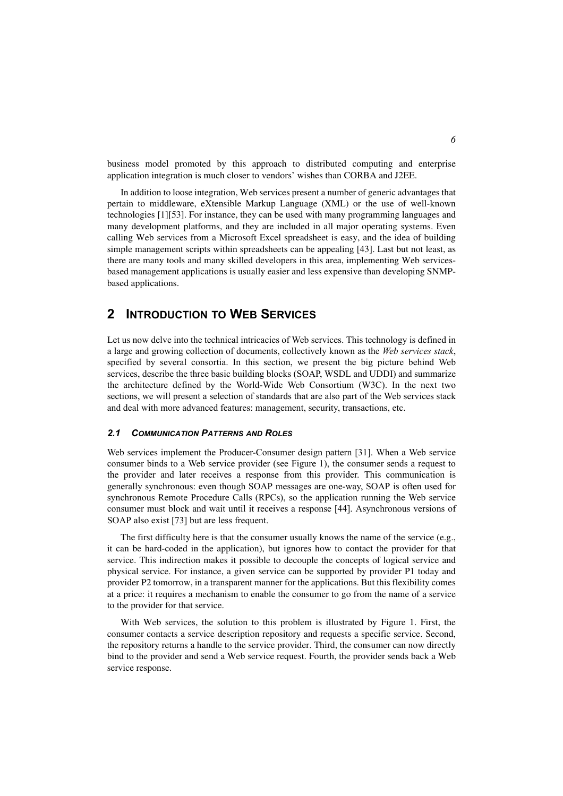business model promoted by this approach to distributed computing and enterprise application integration is much closer to vendors' wishes than CORBA and J2EE.

In addition to loose integration, Web services present a number of generic advantages that pertain to middleware, eXtensible Markup Language (XML) or the use of well-known technologies [1][53]. For instance, they can be used with many programming languages and many development platforms, and they are included in all major operating systems. Even calling Web services from a Microsoft Excel spreadsheet is easy, and the idea of building simple management scripts within spreadsheets can be appealing [\[43\].](#page-52-1) Last but not least, as there are many tools and many skilled developers in this area, implementing Web servicesbased management applications is usually easier and less expensive than developing SNMPbased applications.

## <span id="page-5-0"></span>**2 INTRODUCTION TO WEB SERVICES**

Let us now delve into the technical intricacies of Web services. This technology is defined in a large and growing collection of documents, collectively known as the *Web services stack*, specified by several consortia. In this section, we present the big picture behind Web services, describe the three basic building blocks (SOAP, WSDL and UDDI) and summarize the architecture defined by the World-Wide Web Consortium (W3C). In the next two sections, we will present a selection of standards that are also part of the Web services stack and deal with more advanced features: management, security, transactions, etc.

### *2.1 COMMUNICATION PATTERNS AND ROLES*

Web services implement the Producer-Consumer design pattern [\[31\].](#page-52-2) When a Web service consumer binds to a Web service provider (see [Figure 1](#page-6-0)), the consumer sends a request to the provider and later receives a response from this provider. This communication is generally synchronous: even though SOAP messages are one-way, SOAP is often used for synchronous Remote Procedure Calls (RPCs), so the application running the Web service consumer must block and wait until it receives a response [\[44\]](#page-52-3). Asynchronous versions of SOAP also exist [\[73\]](#page-54-0) but are less frequent.

The first difficulty here is that the consumer usually knows the name of the service (e.g., it can be hard-coded in the application), but ignores how to contact the provider for that service. This indirection makes it possible to decouple the concepts of logical service and physical service. For instance, a given service can be supported by provider P1 today and provider P2 tomorrow, in a transparent manner for the applications. But this flexibility comes at a price: it requires a mechanism to enable the consumer to go from the name of a service to the provider for that service.

With Web services, the solution to this problem is illustrated by [Figure 1.](#page-6-0) First, the consumer contacts a service description repository and requests a specific service. Second, the repository returns a handle to the service provider. Third, the consumer can now directly bind to the provider and send a Web service request. Fourth, the provider sends back a Web service response.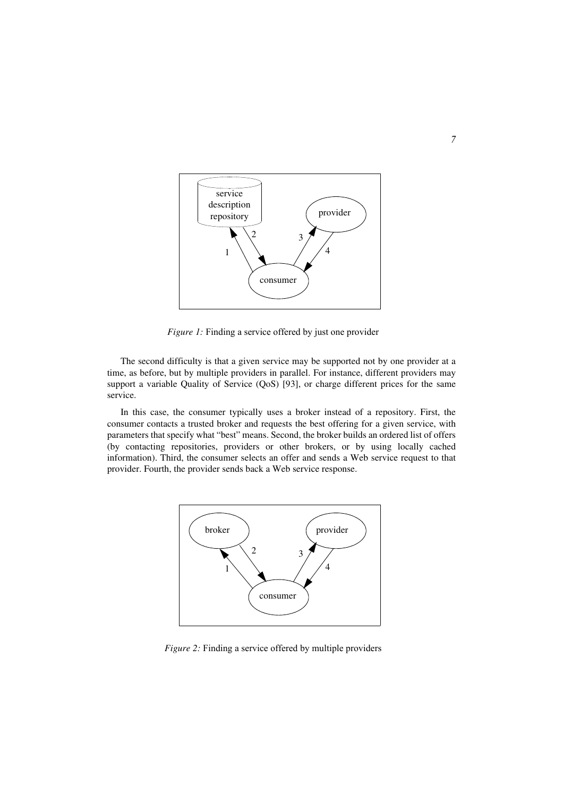

*Figure 1:* Finding a service offered by just one provider

<span id="page-6-0"></span>The second difficulty is that a given service may be supported not by one provider at a time, as before, but by multiple providers in parallel. For instance, different providers may support a variable Quality of Service (QoS) [93], or charge different prices for the same service.

In this case, the consumer typically uses a broker instead of a repository. First, the consumer contacts a trusted broker and requests the best offering for a given service, with parameters that specify what "best" means. Second, the broker builds an ordered list of offers (by contacting repositories, providers or other brokers, or by using locally cached information). Third, the consumer selects an offer and sends a Web service request to that provider. Fourth, the provider sends back a Web service response.



*Figure 2:* Finding a service offered by multiple providers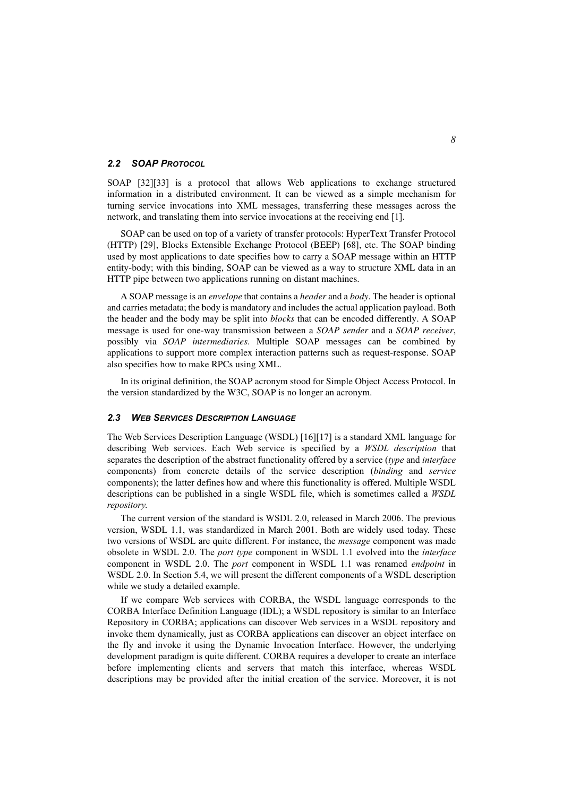#### *2.2 SOAP PROTOCOL*

SOAP [32][33] is a protocol that allows Web applications to exchange structured information in a distributed environment. It can be viewed as a simple mechanism for turning service invocations into XML messages, transferring these messages across the network, and translating them into service invocations at the receiving end [1].

SOAP can be used on top of a variety of transfer protocols: HyperText Transfer Protocol (HTTP) [\[29\],](#page-52-4) Blocks Extensible Exchange Protocol (BEEP) [\[68\],](#page-53-0) etc. The SOAP binding used by most applications to date specifies how to carry a SOAP message within an HTTP entity-body; with this binding, SOAP can be viewed as a way to structure XML data in an HTTP pipe between two applications running on distant machines.

A SOAP message is an *envelope* that contains a *header* and a *body*. The header is optional and carries metadata; the body is mandatory and includes the actual application payload. Both the header and the body may be split into *blocks* that can be encoded differently. A SOAP message is used for one-way transmission between a *SOAP sender* and a *SOAP receiver*, possibly via *SOAP intermediaries*. Multiple SOAP messages can be combined by applications to support more complex interaction patterns such as request-response. SOAP also specifies how to make RPCs using XML.

In its original definition, the SOAP acronym stood for Simple Object Access Protocol. In the version standardized by the W3C, SOAP is no longer an acronym.

#### *2.3 WEB SERVICES DESCRIPTION LANGUAGE*

The Web Services Description Language (WSDL) [16][17] is a standard XML language for describing Web services. Each Web service is specified by a *WSDL description* that separates the description of the abstract functionality offered by a service (*type* and *interface* components) from concrete details of the service description (*binding* and *service* components); the latter defines how and where this functionality is offered. Multiple WSDL descriptions can be published in a single WSDL file, which is sometimes called a *WSDL repository*.

The current version of the standard is WSDL 2.0, released in March 2006. The previous version, WSDL 1.1, was standardized in March 2001. Both are widely used today. These two versions of WSDL are quite different. For instance, the *message* component was made obsolete in WSDL 2.0. The *port type* component in WSDL 1.1 evolved into the *interface* component in WSDL 2.0. The *port* component in WSDL 1.1 was renamed *endpoint* in WSDL 2.0. In [Section 5.4,](#page-20-0) we will present the different components of a WSDL description while we study a detailed example.

If we compare Web services with CORBA, the WSDL language corresponds to the CORBA Interface Definition Language (IDL); a WSDL repository is similar to an Interface Repository in CORBA; applications can discover Web services in a WSDL repository and invoke them dynamically, just as CORBA applications can discover an object interface on the fly and invoke it using the Dynamic Invocation Interface. However, the underlying development paradigm is quite different. CORBA requires a developer to create an interface before implementing clients and servers that match this interface, whereas WSDL descriptions may be provided after the initial creation of the service. Moreover, it is not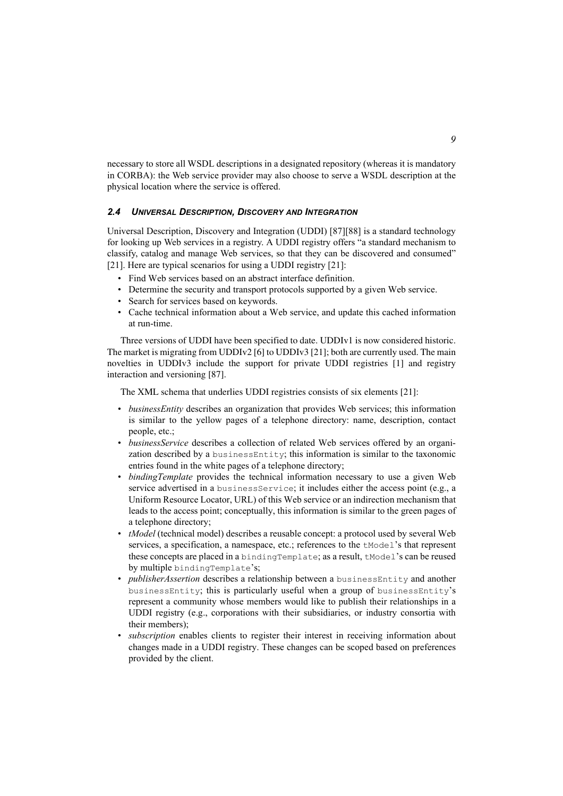necessary to store all WSDL descriptions in a designated repository (whereas it is mandatory in CORBA): the Web service provider may also choose to serve a WSDL description at the physical location where the service is offered.

## *2.4 UNIVERSAL DESCRIPTION, DISCOVERY AND INTEGRATION*

Universal Description, Discovery and Integration (UDDI) [87][88] is a standard technology for looking up Web services in a registry. A UDDI registry offers "a standard mechanism to classify, catalog and manage Web services, so that they can be discovered and consumed" [21]. Here are typical scenarios for using a UDDI registry [21]:

- Find Web services based on an abstract interface definition.
- Determine the security and transport protocols supported by a given Web service.
- Search for services based on keywords.
- Cache technical information about a Web service, and update this cached information at run-time.

Three versions of UDDI have been specified to date. UDDIv1 is now considered historic. The market is migrating from UDDIv2 [6] to UDDIv3 [21]; both are currently used. The main novelties in UDDIv3 include the support for private UDDI registries [1] and registry interaction and versioning [87].

The XML schema that underlies UDDI registries consists of six elements [21]:

- *businessEntity* describes an organization that provides Web services; this information is similar to the yellow pages of a telephone directory: name, description, contact people, etc.;
- *businessService* describes a collection of related Web services offered by an organization described by a businessEntity; this information is similar to the taxonomic entries found in the white pages of a telephone directory;
- *bindingTemplate* provides the technical information necessary to use a given Web service advertised in a businessService; it includes either the access point (e.g., a Uniform Resource Locator, URL) of this Web service or an indirection mechanism that leads to the access point; conceptually, this information is similar to the green pages of a telephone directory;
- *tModel* (technical model) describes a reusable concept: a protocol used by several Web services, a specification, a namespace, etc.; references to the tModel's that represent these concepts are placed in a bindingTemplate; as a result, tModel's can be reused by multiple bindingTemplate's;
- *publisherAssertion* describes a relationship between a businessEntity and another businessEntity; this is particularly useful when a group of businessEntity's represent a community whose members would like to publish their relationships in a UDDI registry (e.g., corporations with their subsidiaries, or industry consortia with their members);
- subscription enables clients to register their interest in receiving information about changes made in a UDDI registry. These changes can be scoped based on preferences provided by the client.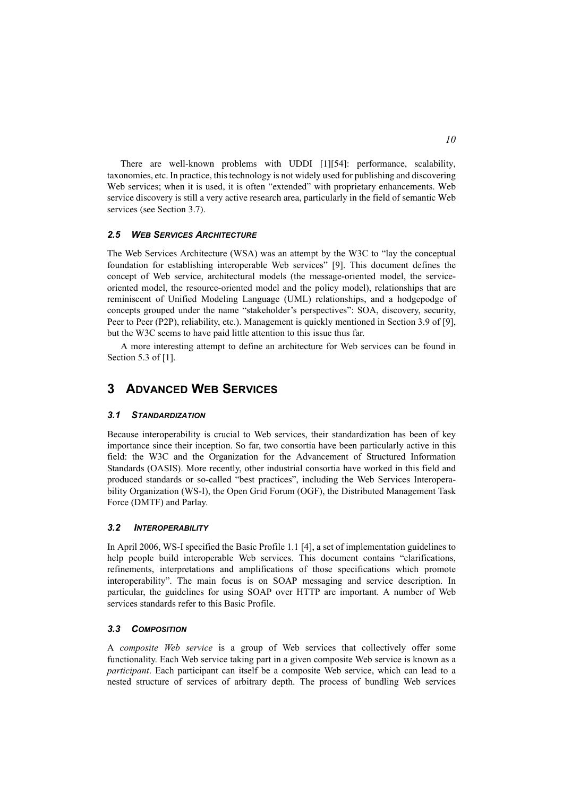There are well-known problems with UDDI [1][\[54\]:](#page-53-1) performance, scalability, taxonomies, etc. In practice, this technology is not widely used for publishing and discovering Web services; when it is used, it is often "extended" with proprietary enhancements. Web service discovery is still a very active research area, particularly in the field of semantic Web services (see [Section 3.7\)](#page-13-1).

## <span id="page-9-1"></span>*2.5 WEB SERVICES ARCHITECTURE*

The Web Services Architecture (WSA) was an attempt by the W3C to "lay the conceptual foundation for establishing interoperable Web services" [9]. This document defines the concept of Web service, architectural models (the message-oriented model, the serviceoriented model, the resource-oriented model and the policy model), relationships that are reminiscent of Unified Modeling Language (UML) relationships, and a hodgepodge of concepts grouped under the name "stakeholder's perspectives": SOA, discovery, security, Peer to Peer (P2P), reliability, etc.). Management is quickly mentioned in Section 3.9 of [9], but the W3C seems to have paid little attention to this issue thus far.

A more interesting attempt to define an architecture for Web services can be found in Section 5.3 of [1].

## <span id="page-9-0"></span>**3 ADVANCED WEB SERVICES**

## *3.1 STANDARDIZATION*

Because interoperability is crucial to Web services, their standardization has been of key importance since their inception. So far, two consortia have been particularly active in this field: the W3C and the Organization for the Advancement of Structured Information Standards (OASIS). More recently, other industrial consortia have worked in this field and produced standards or so-called "best practices", including the Web Services Interoperability Organization (WS-I), the Open Grid Forum (OGF), the Distributed Management Task Force (DMTF) and Parlay.

#### *3.2 INTEROPERABILITY*

In April 2006, WS-I specified the Basic Profile 1.1 [4], a set of implementation guidelines to help people build interoperable Web services. This document contains "clarifications, refinements, interpretations and amplifications of those specifications which promote interoperability". The main focus is on SOAP messaging and service description. In particular, the guidelines for using SOAP over HTTP are important. A number of Web services standards refer to this Basic Profile.

## *3.3 COMPOSITION*

A *composite Web service* is a group of Web services that collectively offer some functionality. Each Web service taking part in a given composite Web service is known as a *participant*. Each participant can itself be a composite Web service, which can lead to a nested structure of services of arbitrary depth. The process of bundling Web services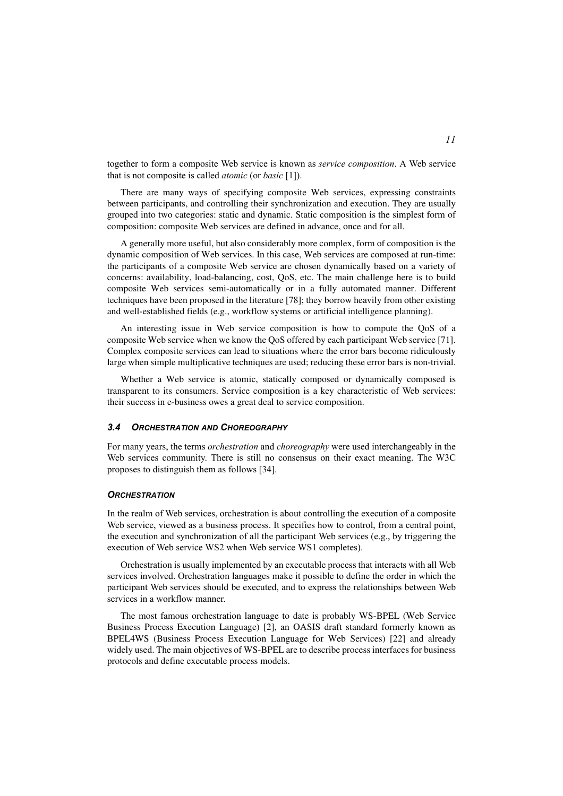together to form a composite Web service is known as *service composition*. A Web service that is not composite is called *atomic* (or *basic* [1]).

There are many ways of specifying composite Web services, expressing constraints between participants, and controlling their synchronization and execution. They are usually grouped into two categories: static and dynamic. Static composition is the simplest form of composition: composite Web services are defined in advance, once and for all.

A generally more useful, but also considerably more complex, form of composition is the dynamic composition of Web services. In this case, Web services are composed at run-time: the participants of a composite Web service are chosen dynamically based on a variety of concerns: availability, load-balancing, cost, QoS, etc. The main challenge here is to build composite Web services semi-automatically or in a fully automated manner. Different techniques have been proposed in the literature [78]; they borrow heavily from other existing and well-established fields (e.g., workflow systems or artificial intelligence planning).

An interesting issue in Web service composition is how to compute the QoS of a composite Web service when we know the QoS offered by each participant Web service [71]. Complex composite services can lead to situations where the error bars become ridiculously large when simple multiplicative techniques are used; reducing these error bars is non-trivial.

Whether a Web service is atomic, statically composed or dynamically composed is transparent to its consumers. Service composition is a key characteristic of Web services: their success in e-business owes a great deal to service composition.

#### *3.4 ORCHESTRATION AND CHOREOGRAPHY*

For many years, the terms *orchestration* and *choreography* were used interchangeably in the Web services community. There is still no consensus on their exact meaning. The W3C proposes to distinguish them as follows [34].

## *ORCHESTRATION*

In the realm of Web services, orchestration is about controlling the execution of a composite Web service, viewed as a business process. It specifies how to control, from a central point, the execution and synchronization of all the participant Web services (e.g., by triggering the execution of Web service WS2 when Web service WS1 completes).

Orchestration is usually implemented by an executable process that interacts with all Web services involved. Orchestration languages make it possible to define the order in which the participant Web services should be executed, and to express the relationships between Web services in a workflow manner.

The most famous orchestration language to date is probably WS-BPEL (Web Service Business Process Execution Language) [2], an OASIS draft standard formerly known as BPEL4WS (Business Process Execution Language for Web Services) [22] and already widely used. The main objectives of WS-BPEL are to describe process interfaces for business protocols and define executable process models.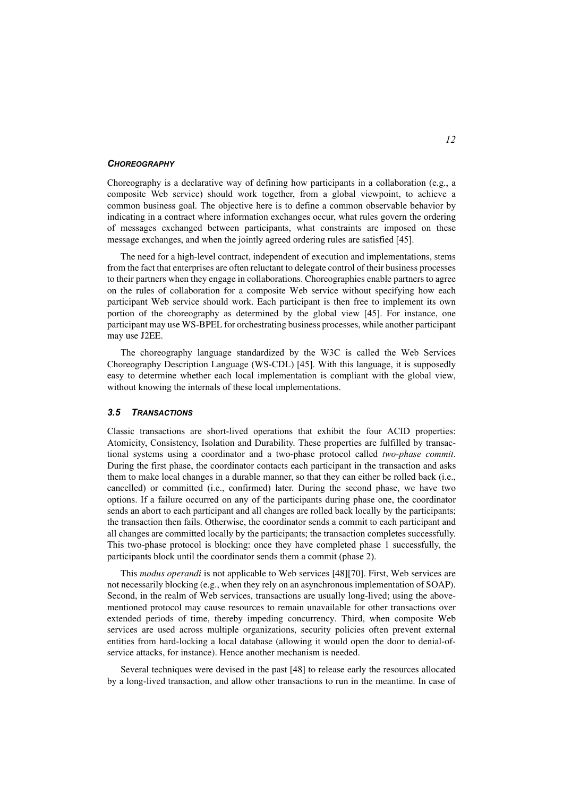#### *CHOREOGRAPHY*

Choreography is a declarative way of defining how participants in a collaboration (e.g., a composite Web service) should work together, from a global viewpoint, to achieve a common business goal. The objective here is to define a common observable behavior by indicating in a contract where information exchanges occur, what rules govern the ordering of messages exchanged between participants, what constraints are imposed on these message exchanges, and when the jointly agreed ordering rules are satisfied [\[45\]](#page-52-5).

The need for a high-level contract, independent of execution and implementations, stems from the fact that enterprises are often reluctant to delegate control of their business processes to their partners when they engage in collaborations. Choreographies enable partners to agree on the rules of collaboration for a composite Web service without specifying how each participant Web service should work. Each participant is then free to implement its own portion of the choreography as determined by the global view [\[45\]](#page-52-5). For instance, one participant may use WS-BPEL for orchestrating business processes, while another participant may use J2EE.

The choreography language standardized by the W3C is called the Web Services Choreography Description Language (WS-CDL) [\[45\]](#page-52-5). With this language, it is supposedly easy to determine whether each local implementation is compliant with the global view, without knowing the internals of these local implementations.

## *3.5 TRANSACTIONS*

Classic transactions are short-lived operations that exhibit the four ACID properties: Atomicity, Consistency, Isolation and Durability. These properties are fulfilled by transactional systems using a coordinator and a two-phase protocol called *two-phase commit*. During the first phase, the coordinator contacts each participant in the transaction and asks them to make local changes in a durable manner, so that they can either be rolled back (i.e., cancelled) or committed (i.e., confirmed) later. During the second phase, we have two options. If a failure occurred on any of the participants during phase one, the coordinator sends an abort to each participant and all changes are rolled back locally by the participants; the transaction then fails. Otherwise, the coordinator sends a commit to each participant and all changes are committed locally by the participants; the transaction completes successfully. This two-phase protocol is blocking: once they have completed phase 1 successfully, the participants block until the coordinator sends them a commit (phase 2).

This *modus operandi* is not applicable to Web services [48][\[70\]](#page-54-1). First, Web services are not necessarily blocking (e.g., when they rely on an asynchronous implementation of SOAP). Second, in the realm of Web services, transactions are usually long-lived; using the abovementioned protocol may cause resources to remain unavailable for other transactions over extended periods of time, thereby impeding concurrency. Third, when composite Web services are used across multiple organizations, security policies often prevent external entities from hard-locking a local database (allowing it would open the door to denial-ofservice attacks, for instance). Hence another mechanism is needed.

Several techniques were devised in the past [48] to release early the resources allocated by a long-lived transaction, and allow other transactions to run in the meantime. In case of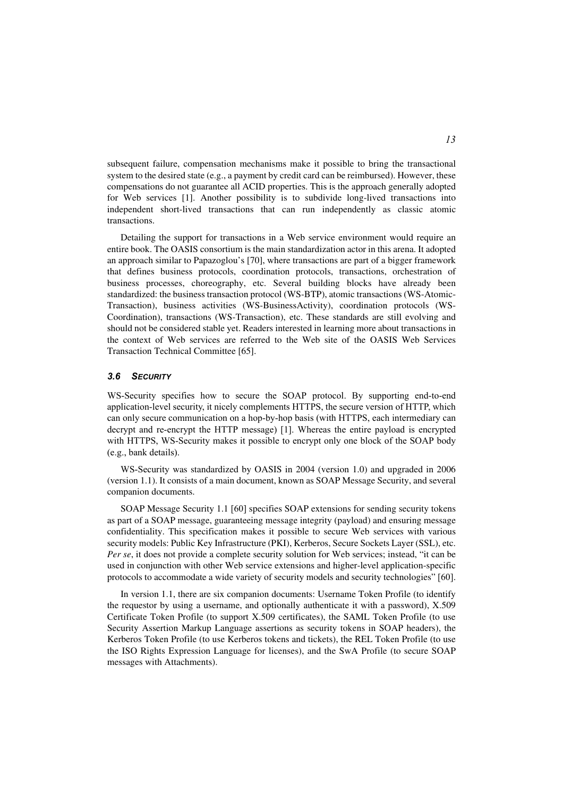subsequent failure, compensation mechanisms make it possible to bring the transactional system to the desired state (e.g., a payment by credit card can be reimbursed). However, these compensations do not guarantee all ACID properties. This is the approach generally adopted for Web services [1]. Another possibility is to subdivide long-lived transactions into independent short-lived transactions that can run independently as classic atomic transactions.

Detailing the support for transactions in a Web service environment would require an entire book. The OASIS consortium is the main standardization actor in this arena. It adopted an approach similar to Papazoglou's [\[70\],](#page-54-1) where transactions are part of a bigger framework that defines business protocols, coordination protocols, transactions, orchestration of business processes, choreography, etc. Several building blocks have already been standardized: the business transaction protocol (WS-BTP), atomic transactions (WS-Atomic-Transaction), business activities (WS-BusinessActivity), coordination protocols (WS-Coordination), transactions (WS-Transaction), etc. These standards are still evolving and should not be considered stable yet. Readers interested in learning more about transactions in the context of Web services are referred to the Web site of the OASIS Web Services Transaction Technical Committee [\[65\]](#page-53-2).

### *3.6 SECURITY*

WS-Security specifies how to secure the SOAP protocol. By supporting end-to-end application-level security, it nicely complements HTTPS, the secure version of HTTP, which can only secure communication on a hop-by-hop basis (with HTTPS, each intermediary can decrypt and re-encrypt the HTTP message) [1]. Whereas the entire payload is encrypted with HTTPS. WS-Security makes it possible to encrypt only one block of the SOAP body (e.g., bank details).

WS-Security was standardized by OASIS in 2004 (version 1.0) and upgraded in 2006 (version 1.1). It consists of a main document, known as SOAP Message Security, and several companion documents.

SOAP Message Security 1.1 [60] specifies SOAP extensions for sending security tokens as part of a SOAP message, guaranteeing message integrity (payload) and ensuring message confidentiality. This specification makes it possible to secure Web services with various security models: Public Key Infrastructure (PKI), Kerberos, Secure Sockets Layer (SSL), etc. *Per se*, it does not provide a complete security solution for Web services; instead, "it can be used in conjunction with other Web service extensions and higher-level application-specific protocols to accommodate a wide variety of security models and security technologies" [60].

In version 1.1, there are six companion documents: Username Token Profile (to identify the requestor by using a username, and optionally authenticate it with a password), X.509 Certificate Token Profile (to support X.509 certificates), the SAML Token Profile (to use Security Assertion Markup Language assertions as security tokens in SOAP headers), the Kerberos Token Profile (to use Kerberos tokens and tickets), the REL Token Profile (to use the ISO Rights Expression Language for licenses), and the SwA Profile (to secure SOAP messages with Attachments).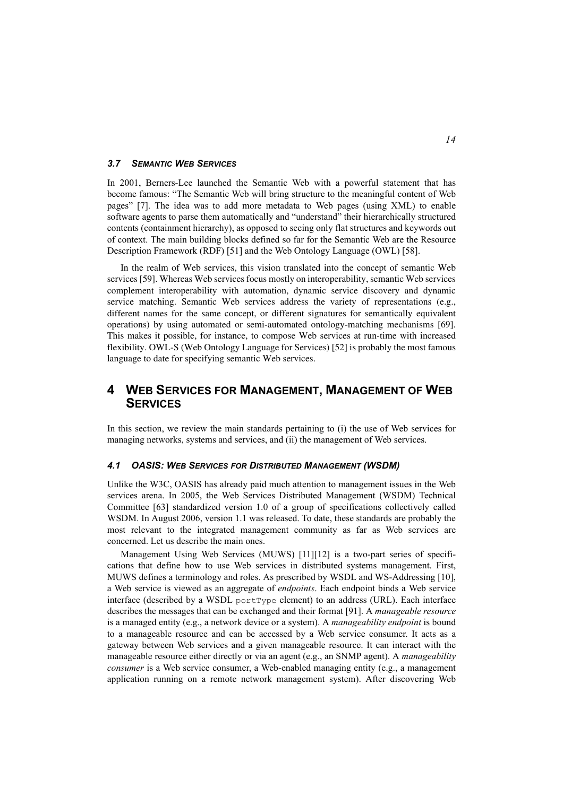#### <span id="page-13-1"></span>*3.7 SEMANTIC WEB SERVICES*

In 2001, Berners-Lee launched the Semantic Web with a powerful statement that has become famous: "The Semantic Web will bring structure to the meaningful content of Web pages" [7]. The idea was to add more metadata to Web pages (using XML) to enable software agents to parse them automatically and "understand" their hierarchically structured contents (containment hierarchy), as opposed to seeing only flat structures and keywords out of context. The main building blocks defined so far for the Semantic Web are the Resource Description Framework (RDF) [51] and the Web Ontology Language (OWL) [\[58\].](#page-53-3)

In the realm of Web services, this vision translated into the concept of semantic Web services [\[59\]](#page-53-4). Whereas Web services focus mostly on interoperability, semantic Web services complement interoperability with automation, dynamic service discovery and dynamic service matching. Semantic Web services address the variety of representations (e.g., different names for the same concept, or different signatures for semantically equivalent operations) by using automated or semi-automated ontology-matching mechanisms [69]. This makes it possible, for instance, to compose Web services at run-time with increased flexibility. OWL-S (Web Ontology Language for Services) [\[52\]](#page-53-5) is probably the most famous language to date for specifying semantic Web services.

## <span id="page-13-0"></span>**4 WEB SERVICES FOR MANAGEMENT, MANAGEMENT OF WEB SERVICES**

In this section, we review the main standards pertaining to (i) the use of Web services for managing networks, systems and services, and (ii) the management of Web services.

## *4.1 OASIS: WEB SERVICES FOR DISTRIBUTED MANAGEMENT (WSDM)*

Unlike the W3C, OASIS has already paid much attention to management issues in the Web services arena. In 2005, the Web Services Distributed Management (WSDM) Technical Committee [\[63\]](#page-53-6) standardized version 1.0 of a group of specifications collectively called WSDM. In August 2006, version 1.1 was released. To date, these standards are probably the most relevant to the integrated management community as far as Web services are concerned. Let us describe the main ones.

Management Using Web Services (MUWS) [\[11\]](#page-51-0)[\[12\]](#page-51-1) is a two-part series of specifications that define how to use Web services in distributed systems management. First, MUWS defines a terminology and roles. As prescribed by WSDL and WS-Addressing [\[10\]](#page-51-2), a Web service is viewed as an aggregate of *endpoints*. Each endpoint binds a Web service interface (described by a WSDL portType element) to an address (URL). Each interface describes the messages that can be exchanged and their format [\[91\].](#page-55-0) A *manageable resource* is a managed entity (e.g., a network device or a system). A *manageability endpoint* is bound to a manageable resource and can be accessed by a Web service consumer. It acts as a gateway between Web services and a given manageable resource. It can interact with the manageable resource either directly or via an agent (e.g., an SNMP agent). A *manageability consumer* is a Web service consumer, a Web-enabled managing entity (e.g., a management application running on a remote network management system). After discovering Web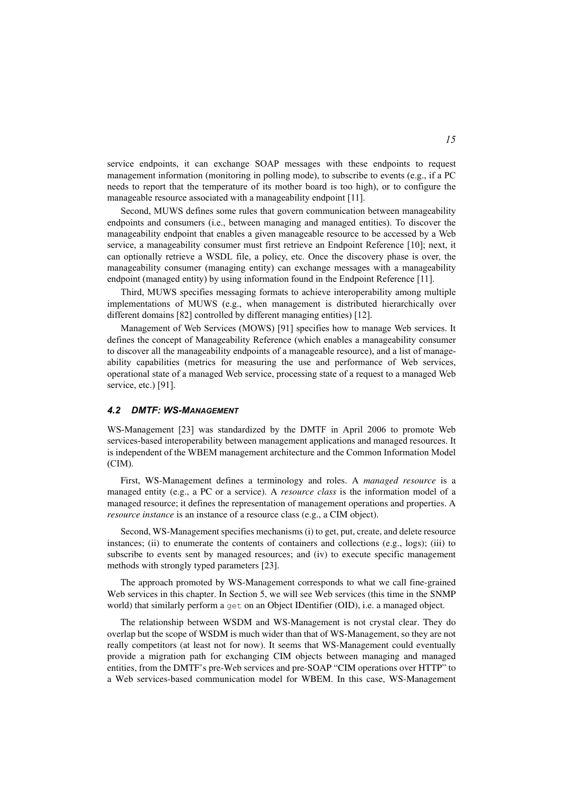service endpoints, it can exchange SOAP messages with these endpoints to request management information (monitoring in polling mode), to subscribe to events (e.g., if a PC needs to report that the temperature of its mother board is too high), or to configure the manageable resource associated with a manageability endpoint [\[11\].](#page-51-0)

Second, MUWS defines some rules that govern communication between manageability endpoints and consumers (i.e., between managing and managed entities). To discover the manageability endpoint that enables a given manageable resource to be accessed by a Web service, a manageability consumer must first retrieve an Endpoint Reference [\[10\];](#page-51-2) next, it can optionally retrieve a WSDL file, a policy, etc. Once the discovery phase is over, the manageability consumer (managing entity) can exchange messages with a manageability endpoint (managed entity) by using information found in the Endpoint Reference [\[11\].](#page-51-0)

Third, MUWS specifies messaging formats to achieve interoperability among multiple implementations of MUWS (e.g., when management is distributed hierarchically over different domains [82] controlled by different managing entities) [\[12\]](#page-51-1).

Management of Web Services (MOWS) [\[91\]](#page-55-0) specifies how to manage Web services. It defines the concept of Manageability Reference (which enables a manageability consumer to discover all the manageability endpoints of a manageable resource), and a list of manageability capabilities (metrics for measuring the use and performance of Web services, operational state of a managed Web service, processing state of a request to a managed Web service, etc.) [\[91\]](#page-55-0).

#### *4.2 DMTF: WS-MANAGEMENT*

WS-Management [\[23\]](#page-51-3) was standardized by the DMTF in April 2006 to promote Web services-based interoperability between management applications and managed resources. It is independent of the WBEM management architecture and the Common Information Model (CIM).

First, WS-Management defines a terminology and roles. A *managed resource* is a managed entity (e.g., a PC or a service). A *resource class* is the information model of a managed resource; it defines the representation of management operations and properties. A *resource instance* is an instance of a resource class (e.g., a CIM object).

Second, WS-Management specifies mechanisms (i) to get, put, create, and delete resource instances; (ii) to enumerate the contents of containers and collections (e.g., logs); (iii) to subscribe to events sent by managed resources; and (iv) to execute specific management methods with strongly typed parameters [\[23\].](#page-51-3)

The approach promoted by WS-Management corresponds to what we call fine-grained Web services in this chapter. In [Section 5,](#page-16-0) we will see Web services (this time in the SNMP world) that similarly perform a get on an Object IDentifier (OID), i.e. a managed object.

The relationship between WSDM and WS-Management is not crystal clear. They do overlap but the scope of WSDM is much wider than that of WS-Management, so they are not really competitors (at least not for now). It seems that WS-Management could eventually provide a migration path for exchanging CIM objects between managing and managed entities, from the DMTF's pre-Web services and pre-SOAP "CIM operations over HTTP" to a Web services-based communication model for WBEM. In this case, WS-Management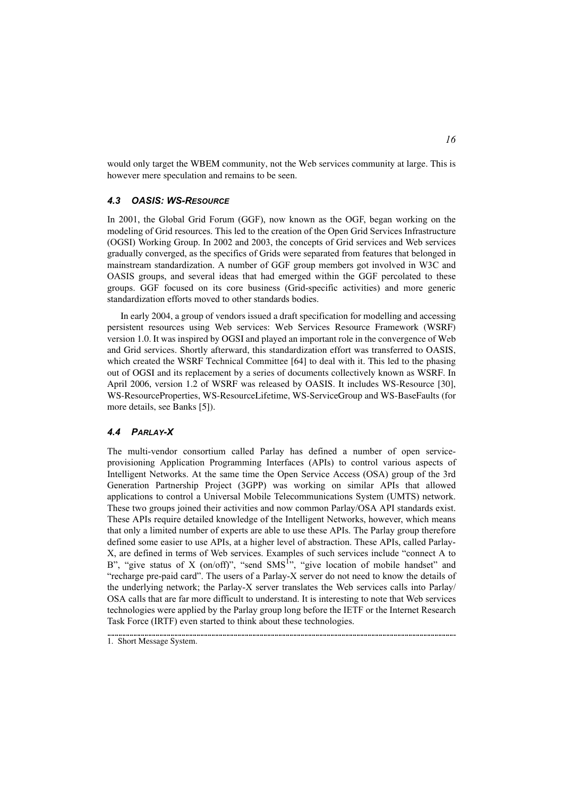would only target the WBEM community, not the Web services community at large. This is however mere speculation and remains to be seen.

## *4.3 OASIS: WS-RESOURCE*

In 2001, the Global Grid Forum (GGF), now known as the OGF, began working on the modeling of Grid resources. This led to the creation of the Open Grid Services Infrastructure (OGSI) Working Group. In 2002 and 2003, the concepts of Grid services and Web services gradually converged, as the specifics of Grids were separated from features that belonged in mainstream standardization. A number of GGF group members got involved in W3C and OASIS groups, and several ideas that had emerged within the GGF percolated to these groups. GGF focused on its core business (Grid-specific activities) and more generic standardization efforts moved to other standards bodies.

In early 2004, a group of vendors issued a draft specification for modelling and accessing persistent resources using Web services: Web Services Resource Framework (WSRF) version 1.0. It was inspired by OGSI and played an important role in the convergence of Web and Grid services. Shortly afterward, this standardization effort was transferred to OASIS, which created the WSRF Technical Committee [\[64\]](#page-53-7) to deal with it. This led to the phasing out of OGSI and its replacement by a series of documents collectively known as WSRF. In April 2006, version 1.2 of WSRF was released by OASIS. It includes WS-Resource [30], WS-ResourceProperties, WS-ResourceLifetime, WS-ServiceGroup and WS-BaseFaults (for more details, see Banks [5]).

#### *4.4 PARLAY-X*

The multi-vendor consortium called Parlay has defined a number of open serviceprovisioning Application Programming Interfaces (APIs) to control various aspects of Intelligent Networks. At the same time the Open Service Access (OSA) group of the 3rd Generation Partnership Project (3GPP) was working on similar APIs that allowed applications to control a Universal Mobile Telecommunications System (UMTS) network. These two groups joined their activities and now common Parlay/OSA API standards exist. These APIs require detailed knowledge of the Intelligent Networks, however, which means that only a limited number of experts are able to use these APIs. The Parlay group therefore defined some easier to use APIs, at a higher level of abstraction. These APIs, called Parlay-X, are defined in terms of Web services. Examples of such services include "connect A to B", "give status of X (on/off)", "send  $SMS<sup>1</sup>$ ", "give location of mobile handset" and "recharge pre-paid card". The users of a Parlay-X server do not need to know the details of the underlying network; the Parlay-X server translates the Web services calls into Parlay/ OSA calls that are far more difficult to understand. It is interesting to note that Web services technologies were applied by the Parlay group long before the IETF or the Internet Research Task Force (IRTF) even started to think about these technologies.

<sup>1.</sup> Short Message System.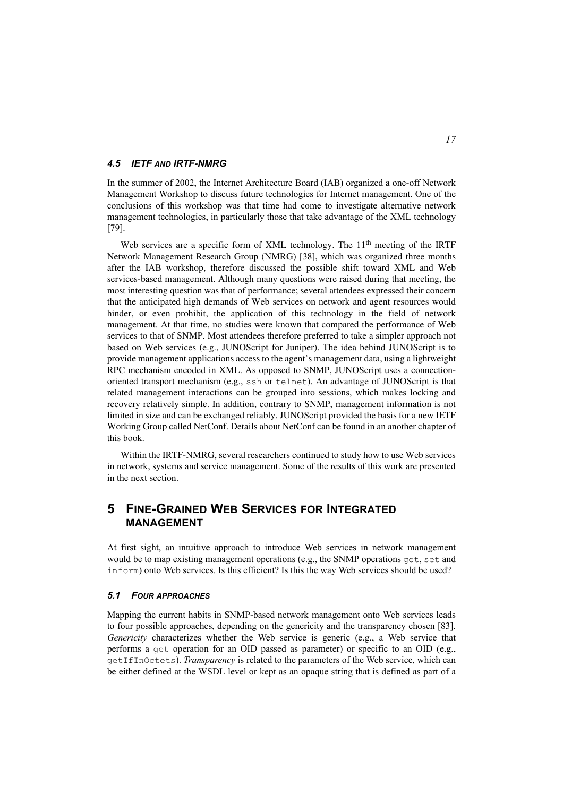## *4.5 IETF AND IRTF-NMRG*

In the summer of 2002, the Internet Architecture Board (IAB) organized a one-off Network Management Workshop to discuss future technologies for Internet management. One of the conclusions of this workshop was that time had come to investigate alternative network management technologies, in particularly those that take advantage of the XML technology [79].

Web services are a specific form of XML technology. The  $11<sup>th</sup>$  meeting of the IRTF Network Management Research Group (NMRG) [38], which was organized three months after the IAB workshop, therefore discussed the possible shift toward XML and Web services-based management. Although many questions were raised during that meeting, the most interesting question was that of performance; several attendees expressed their concern that the anticipated high demands of Web services on network and agent resources would hinder, or even prohibit, the application of this technology in the field of network management. At that time, no studies were known that compared the performance of Web services to that of SNMP. Most attendees therefore preferred to take a simpler approach not based on Web services (e.g., JUNOScript for Juniper). The idea behind JUNOScript is to provide management applications access to the agent's management data, using a lightweight RPC mechanism encoded in XML. As opposed to SNMP, JUNOScript uses a connectionoriented transport mechanism (e.g., ssh or telnet). An advantage of JUNOScript is that related management interactions can be grouped into sessions, which makes locking and recovery relatively simple. In addition, contrary to SNMP, management information is not limited in size and can be exchanged reliably. JUNOScript provided the basis for a new IETF Working Group called NetConf. Details about NetConf can be found in an another chapter of this book.

Within the IRTF-NMRG, several researchers continued to study how to use Web services in network, systems and service management. Some of the results of this work are presented in the next section.

## <span id="page-16-0"></span>**5 FINE-GRAINED WEB SERVICES FOR INTEGRATED MANAGEMENT**

At first sight, an intuitive approach to introduce Web services in network management would be to map existing management operations (e.g., the SNMP operations  $qet$ , set and inform) onto Web services. Is this efficient? Is this the way Web services should be used?

## *5.1 FOUR APPROACHES*

Mapping the current habits in SNMP-based network management onto Web services leads to four possible approaches, depending on the genericity and the transparency chosen [\[83\]](#page-54-2). *Genericity* characterizes whether the Web service is generic (e.g., a Web service that performs a get operation for an OID passed as parameter) or specific to an OID (e.g., getIfInOctets). *Transparency* is related to the parameters of the Web service, which can be either defined at the WSDL level or kept as an opaque string that is defined as part of a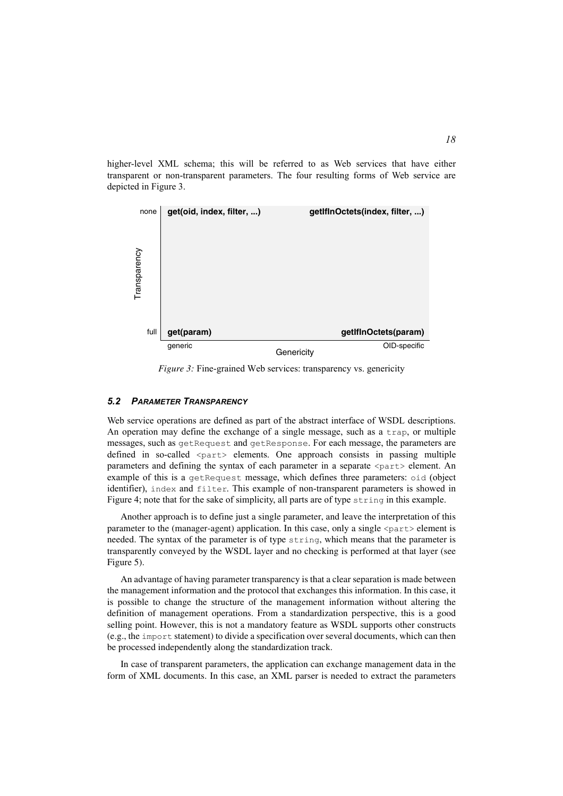higher-level XML schema; this will be referred to as Web services that have either transparent or non-transparent parameters. The four resulting forms of Web service are depicted in Figure 3.



*Figure 3:* Fine-grained Web services: transparency vs. genericity

### *5.2 PARAMETER TRANSPARENCY*

Web service operations are defined as part of the abstract interface of WSDL descriptions. An operation may define the exchange of a single message, such as a  $\pm r$  app, or multiple messages, such as getRequest and getResponse. For each message, the parameters are defined in so-called <part> elements. One approach consists in passing multiple parameters and defining the syntax of each parameter in a separate  $\langle$  part> element. An example of this is a getRequest message, which defines three parameters: oid (object identifier), index and filter. This example of non-transparent parameters is showed in [Figure 4;](#page-18-0) note that for the sake of simplicity, all parts are of type string in this example.

Another approach is to define just a single parameter, and leave the interpretation of this parameter to the (manager-agent) application. In this case, only a single  $\langle$  part> element is needed. The syntax of the parameter is of type string, which means that the parameter is transparently conveyed by the WSDL layer and no checking is performed at that layer (see [Figure 5\)](#page-18-1).

An advantage of having parameter transparency is that a clear separation is made between the management information and the protocol that exchanges this information. In this case, it is possible to change the structure of the management information without altering the definition of management operations. From a standardization perspective, this is a good selling point. However, this is not a mandatory feature as WSDL supports other constructs (e.g., the import statement) to divide a specification over several documents, which can then be processed independently along the standardization track.

In case of transparent parameters, the application can exchange management data in the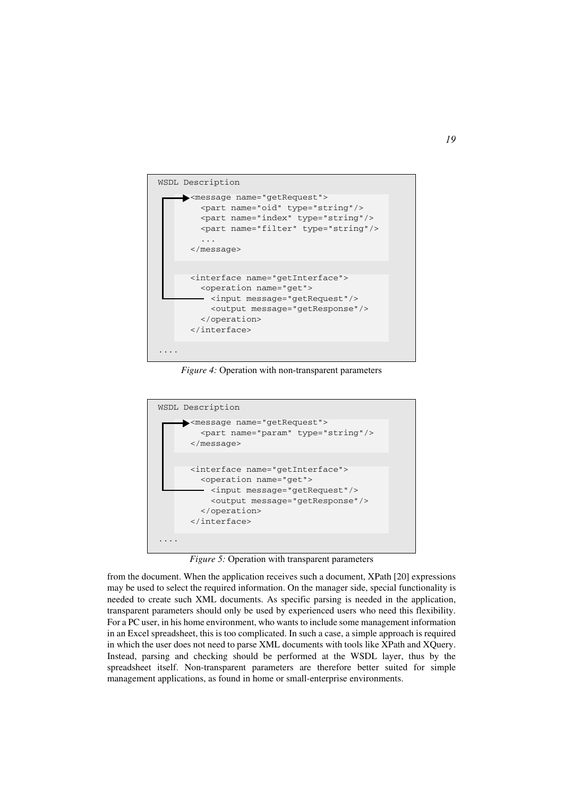![](_page_18_Figure_0.jpeg)

*Figure 4:* Operation with non-transparent parameters

<span id="page-18-0"></span>![](_page_18_Figure_2.jpeg)

*Figure 5:* Operation with transparent parameters

<span id="page-18-1"></span>from the document. When the application receives such a document, XPath [\[20\]](#page-51-4) expressions may be used to select the required information. On the manager side, special functionality is needed to create such XML documents. As specific parsing is needed in the application, transparent parameters should only be used by experienced users who need this flexibility. For a PC user, in his home environment, who wants to include some management information in an Excel spreadsheet, this is too complicated. In such a case, a simple approach is required in which the user does not need to parse XML documents with tools like XPath and XQuery. Instead, parsing and checking should be performed at the WSDL layer, thus by the spreadsheet itself. Non-transparent parameters are therefore better suited for simple management applications, as found in home or small-enterprise environments.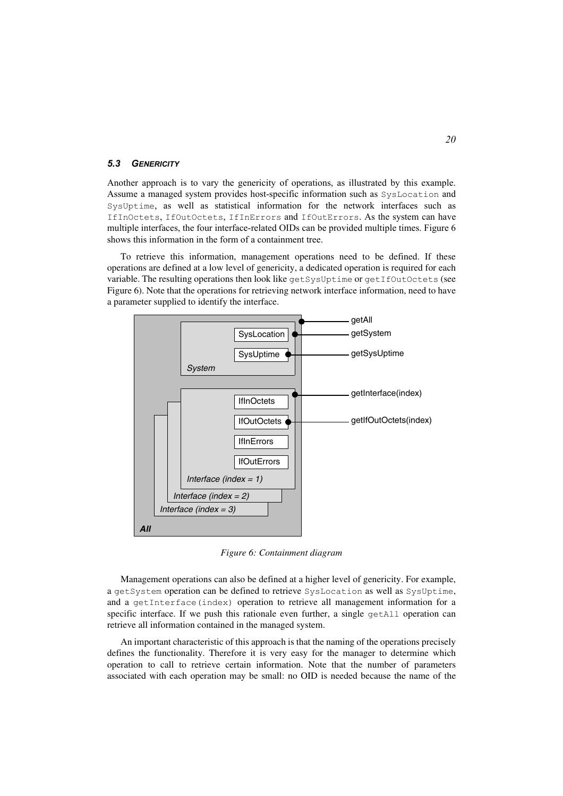#### *5.3 GENERICITY*

Another approach is to vary the genericity of operations, as illustrated by this example. Assume a managed system provides host-specific information such as SysLocation and SysUptime, as well as statistical information for the network interfaces such as IfInOctets, IfOutOctets, IfInErrors and IfOutErrors. As the system can have multiple interfaces, the four interface-related OIDs can be provided multiple times. Figure 6 shows this information in the form of a containment tree.

To retrieve this information, management operations need to be defined. If these operations are defined at a low level of genericity, a dedicated operation is required for each variable. The resulting operations then look like getSysUptime or getIfOutOctets (see Figure 6). Note that the operations for retrieving network interface information, need to have a parameter supplied to identify the interface.

![](_page_19_Figure_3.jpeg)

*Figure 6: Containment diagram*

Management operations can also be defined at a higher level of genericity. For example, a getSystem operation can be defined to retrieve SysLocation as well as SysUptime, and a getInterface(index) operation to retrieve all management information for a specific interface. If we push this rationale even further, a single getAll operation can retrieve all information contained in the managed system.

An important characteristic of this approach is that the naming of the operations precisely defines the functionality. Therefore it is very easy for the manager to determine which operation to call to retrieve certain information. Note that the number of parameters associated with each operation may be small: no OID is needed because the name of the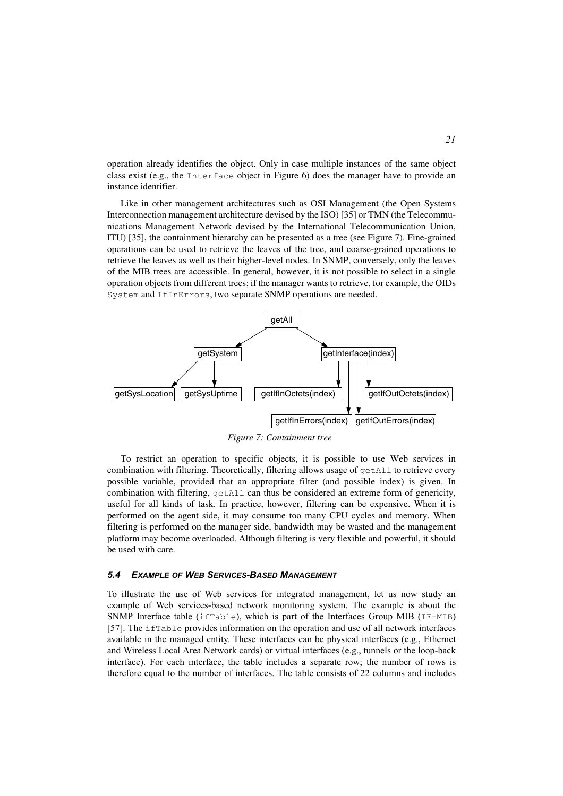operation already identifies the object. Only in case multiple instances of the same object class exist (e.g., the Interface object in Figure 6) does the manager have to provide an instance identifier.

Like in other management architectures such as OSI Management (the Open Systems Interconnection management architecture devised by the ISO) [35] or TMN (the Telecommunications Management Network devised by the International Telecommunication Union, ITU) [35], the containment hierarchy can be presented as a tree (see [Figure 7](#page-20-1)). Fine-grained operations can be used to retrieve the leaves of the tree, and coarse-grained operations to retrieve the leaves as well as their higher-level nodes. In SNMP, conversely, only the leaves of the MIB trees are accessible. In general, however, it is not possible to select in a single operation objects from different trees; if the manager wants to retrieve, for example, the OIDs System and IfInErrors, two separate SNMP operations are needed.

![](_page_20_Figure_2.jpeg)

*Figure 7: Containment tree*

<span id="page-20-1"></span>To restrict an operation to specific objects, it is possible to use Web services in combination with filtering. Theoretically, filtering allows usage of getAll to retrieve every possible variable, provided that an appropriate filter (and possible index) is given. In combination with filtering, getAll can thus be considered an extreme form of genericity, useful for all kinds of task. In practice, however, filtering can be expensive. When it is performed on the agent side, it may consume too many CPU cycles and memory. When filtering is performed on the manager side, bandwidth may be wasted and the management platform may become overloaded. Although filtering is very flexible and powerful, it should be used with care.

#### <span id="page-20-0"></span>*5.4 EXAMPLE OF WEB SERVICES-BASED MANAGEMENT*

To illustrate the use of Web services for integrated management, let us now study an example of Web services-based network monitoring system. The example is about the SNMP Interface table (ifTable), which is part of the Interfaces Group MIB (IF-MIB) [57]. The ifTable provides information on the operation and use of all network interfaces available in the managed entity. These interfaces can be physical interfaces (e.g., Ethernet and Wireless Local Area Network cards) or virtual interfaces (e.g., tunnels or the loop-back interface). For each interface, the table includes a separate row; the number of rows is therefore equal to the number of interfaces. The table consists of 22 columns and includes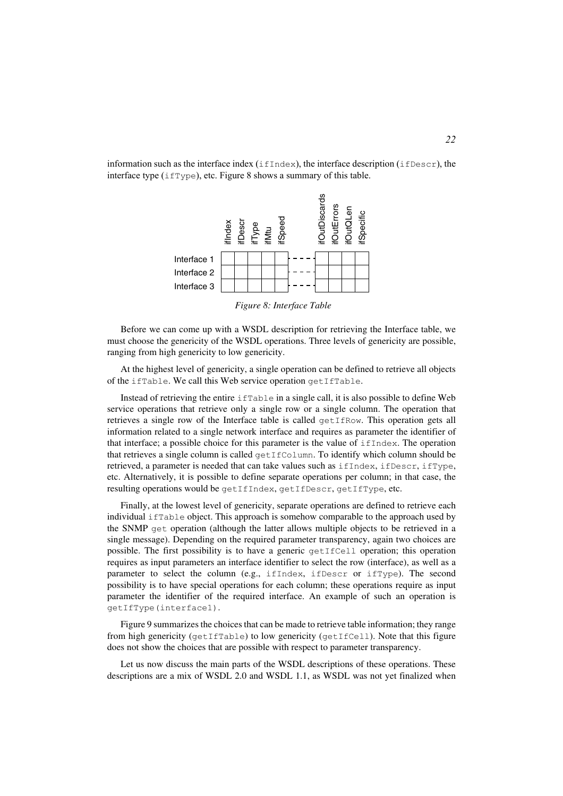![](_page_21_Figure_0.jpeg)

information such as the interface index (ifIndex), the interface description (ifDescr), the interface type  $(i fType)$ , etc. Figure 8 shows a summary of this table.

*Figure 8: Interface Table*

Before we can come up with a WSDL description for retrieving the Interface table, we must choose the genericity of the WSDL operations. Three levels of genericity are possible, ranging from high genericity to low genericity.

At the highest level of genericity, a single operation can be defined to retrieve all objects of the ifTable. We call this Web service operation getIfTable.

Instead of retrieving the entire  $ifTable in a single call, it is also possible to define Web$ service operations that retrieve only a single row or a single column. The operation that retrieves a single row of the Interface table is called  $q$ etIfRow. This operation gets all information related to a single network interface and requires as parameter the identifier of that interface; a possible choice for this parameter is the value of  $ifIndex$ . The operation that retrieves a single column is called getIfColumn. To identify which column should be retrieved, a parameter is needed that can take values such as ifIndex, ifDescr, ifType, etc. Alternatively, it is possible to define separate operations per column; in that case, the resulting operations would be getIfIndex, getIfDescr, getIfType, etc.

Finally, at the lowest level of genericity, separate operations are defined to retrieve each individual ifTable object. This approach is somehow comparable to the approach used by the SNMP get operation (although the latter allows multiple objects to be retrieved in a single message). Depending on the required parameter transparency, again two choices are possible. The first possibility is to have a generic getIfCell operation; this operation requires as input parameters an interface identifier to select the row (interface), as well as a parameter to select the column (e.g., ifIndex, ifDescr or ifType). The second possibility is to have special operations for each column; these operations require as input parameter the identifier of the required interface. An example of such an operation is getIfType(interface1). descriptions are a mix of WSDL 2.1 and WSDL 2.1, as  $\frac{3}{2}$  and WSDL and WSDL and WSDL and WSDL operations. There levels of genericity are possible, between the mix of WSDL operations. There levels of genericity are pos

Figure 9 summarizes the choices that can be made to retrieve table information; they range from high genericity (getIfTable) to low genericity (getIfCell). Note that this figure does not show the choices that are possible with respect to parameter transparency.

Let us now discuss the main parts of the WSDL descriptions of these operations. These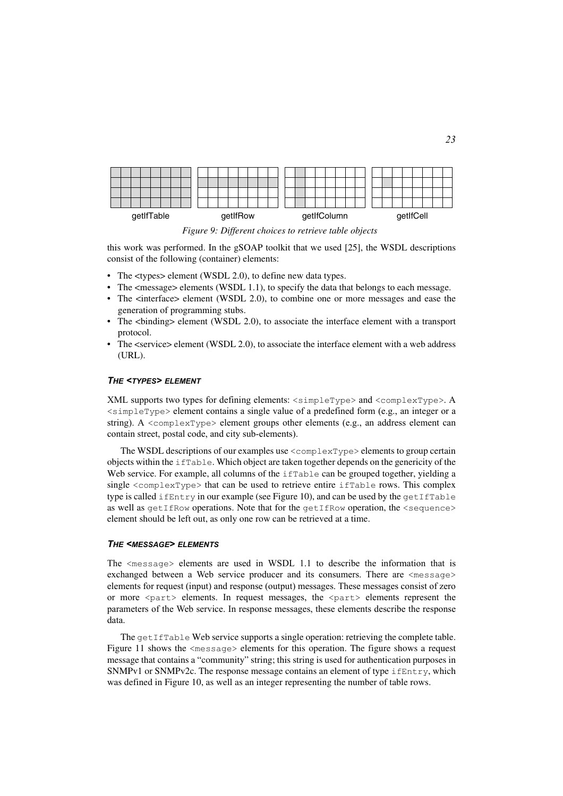![](_page_22_Figure_0.jpeg)

*Figure 9: Different choices to retrieve table objects*

this work was performed. In the gSOAP toolkit that we used [25], the WSDL descriptions consist of the following (container) elements:

- The  $ltypes$  element (WSDL 2.0), to define new data types.
- The <message> elements (WSDL 1.1), to specify the data that belongs to each message.
- The <interface> element (WSDL 2.0), to combine one or more messages and ease the generation of programming stubs.
- The <br/>sbinding> element (WSDL 2.0), to associate the interface element with a transport protocol.
- The <service> element (WSDL 2.0), to associate the interface element with a web address (URL).

### *THE <TYPES> ELEMENT*

XML supports two types for defining elements:  $\langle$ simpleType $\rangle$  and  $\langle$ complexType $\rangle$ . A  $\leq$  simpleType $\geq$  element contains a single value of a predefined form (e.g., an integer or a string). A  $\leq$ complexType $>$  element groups other elements (e.g., an address element can contain street, postal code, and city sub-elements).

The WSDL descriptions of our examples use  $\langle \text{complexType} \rangle$  elements to group certain objects within the ifTable. Which object are taken together depends on the genericity of the Web service. For example, all columns of the  $ifTable can be grouped together, yielding a$ single  $\langle \text{complexType} \rangle$  that can be used to retrieve entire if Table rows. This complex type is called ifEntry in our example (see [Figure 10\)](#page-23-0), and can be used by the getIfTable as well as getIfRow operations. Note that for the getIfRow operation, the <sequence> element should be left out, as only one row can be retrieved at a time.

## *THE <MESSAGE> ELEMENTS*

The <message> elements are used in WSDL 1.1 to describe the information that is exchanged between a Web service producer and its consumers. There are  $\leq$ message> elements for request (input) and response (output) messages. These messages consist of zero or more <part> elements. In request messages, the <part> elements represent the parameters of the Web service. In response messages, these elements describe the response data.

The  $q$ etIfTable Web service supports a single operation: retrieving the complete table. [Figure 11](#page-23-1) shows the  $\langle$ message> elements for this operation. The figure shows a request message that contains a "community" string; this string is used for authentication purposes in  $SNMPv1$  or  $SNMPv2c$ . The response message contains an element of type if  $E$ ntry, which was defined in [Figure 10,](#page-23-0) as well as an integer representing the number of table rows.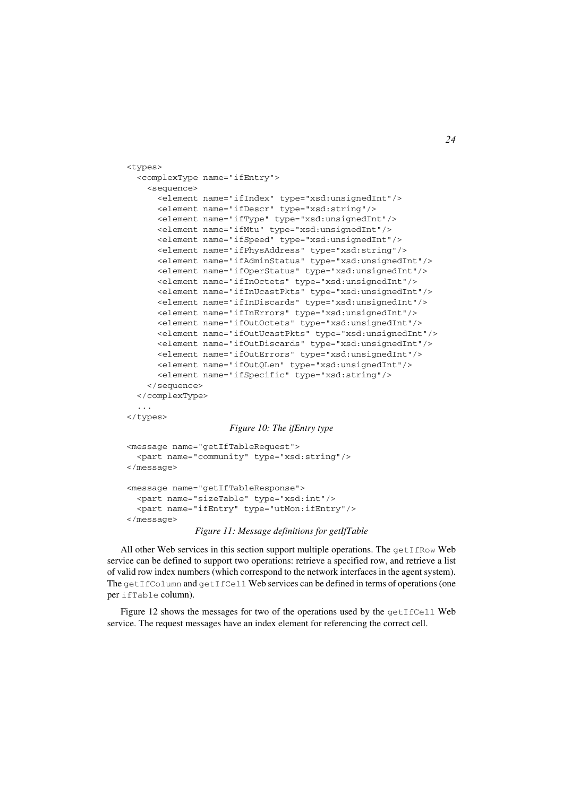```
<types> 
   <complexType name="ifEntry"> 
     <sequence> 
       <element name="ifIndex" type="xsd:unsignedInt"/> 
       <element name="ifDescr" type="xsd:string"/> 
       <element name="ifType" type="xsd:unsignedInt"/> 
       <element name="ifMtu" type="xsd:unsignedInt"/> 
       <element name="ifSpeed" type="xsd:unsignedInt"/> 
       <element name="ifPhysAddress" type="xsd:string"/> 
       <element name="ifAdminStatus" type="xsd:unsignedInt"/> 
       <element name="ifOperStatus" type="xsd:unsignedInt"/> 
       <element name="ifInOctets" type="xsd:unsignedInt"/> 
       <element name="ifInUcastPkts" type="xsd:unsignedInt"/> 
       <element name="ifInDiscards" type="xsd:unsignedInt"/> 
       <element name="ifInErrors" type="xsd:unsignedInt"/> 
       <element name="ifOutOctets" type="xsd:unsignedInt"/> 
       <element name="ifOutUcastPkts" type="xsd:unsignedInt"/> 
       <element name="ifOutDiscards" type="xsd:unsignedInt"/> 
       <element name="ifOutErrors" type="xsd:unsignedInt"/> 
       <element name="ifOutQLen" type="xsd:unsignedInt"/> 
       <element name="ifSpecific" type="xsd:string"/> 
     </sequence> 
   </complexType> 
   ... 
</types> 
                     Figure 10: The ifEntry type
<message name="getIfTableRequest"> 
   <part name="community" type="xsd:string"/>
```

```
</message> 
<message name="getIfTableResponse"> 
   <part name="sizeTable" type="xsd:int"/> 
   <part name="ifEntry" type="utMon:ifEntry"/>
</message>
```
*Figure 11: Message definitions for getIfTable*

<span id="page-23-1"></span>All other Web services in this section support multiple operations. The  $getIfRow$  Web service can be defined to support two operations: retrieve a specified row, and retrieve a list of valid row index numbers (which correspond to the network interfaces in the agent system). The getIfColumn and getIfCell Web services can be defined in terms of operations (one per ifTable column).

[Figure 12](#page-24-0) shows the messages for two of the operations used by the getIfCell Web service. The request messages have an index element for referencing the correct cell.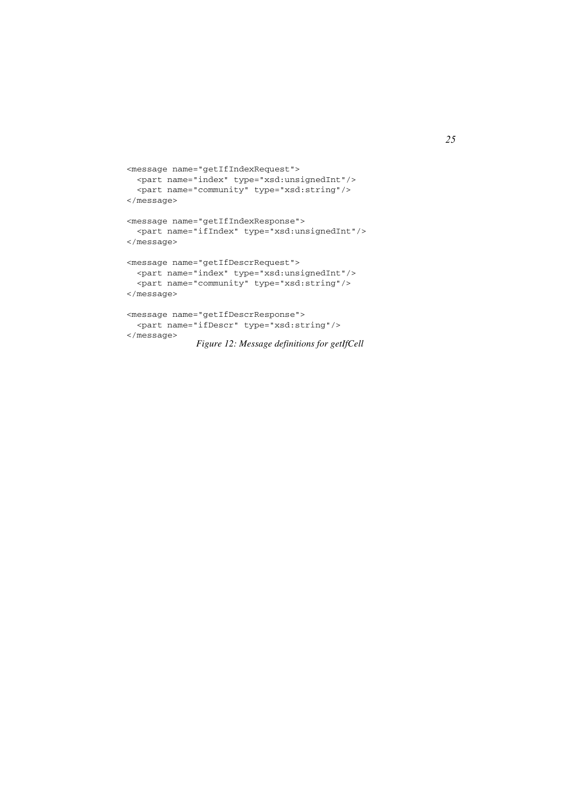```
<message name="getIfIndexRequest">
  <part name="index" type="xsd:unsignedInt"/> 
   <part name="community" type="xsd:string"/> 
</message>
<message name="getIfIndexResponse">
  <part name="ifIndex" type="xsd:unsignedInt"/>
</message>
<message name="getIfDescrRequest">
  <part name="index" type="xsd:unsignedInt"/> 
  <part name="community" type="xsd:string"/>
</message>
<message name="getIfDescrResponse">
  <part name="ifDescr" type="xsd:string"/>
</message>
              Figure 12: Message definitions for getIfCell
```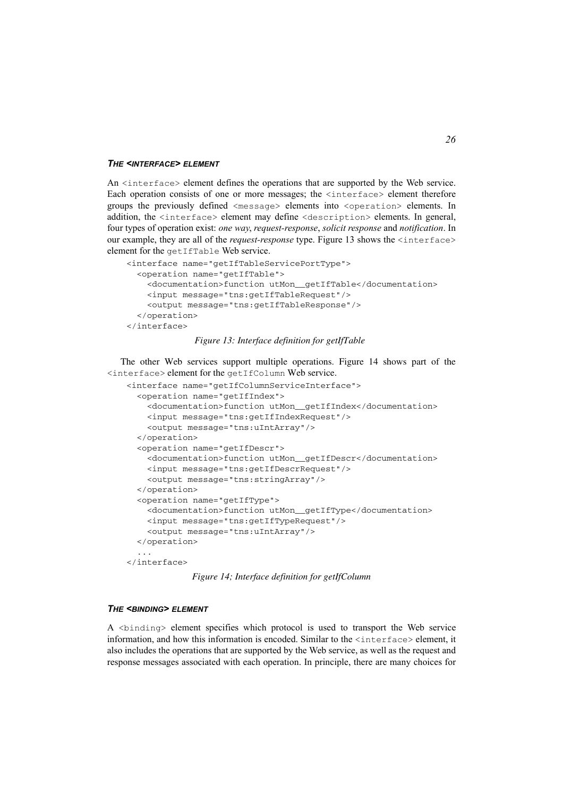#### *THE <INTERFACE> ELEMENT*

An  $\langle$ interface> element defines the operations that are supported by the Web service. Each operation consists of one or more messages; the  $\langle$ interface> element therefore groups the previously defined <message> elements into <operation> elements. In addition, the <interface> element may define <description> elements. In general, four types of operation exist: *one way*, *request-response*, *solicit response* and *notification*. In our example, they are all of the *request-response* type. [Figure 13](#page-25-0) shows the <interface> element for the getIfTable Web service.

```
<interface name="getIfTableServicePortType">
   <operation name="getIfTable">
     <documentation>function utMon__getIfTable</documentation>
     <input message="tns:getIfTableRequest"/>
     <output message="tns:getIfTableResponse"/>
   </operation>
</interface>
```
## *Figure 13: Interface definition for getIfTable*

<span id="page-25-0"></span>The other Web services support multiple operations. [Figure 14](#page-25-1) shows part of the <interface> element for the getIfColumn Web service.

```
<interface name="getIfColumnServiceInterface">
   <operation name="getIfIndex">
     <documentation>function utMon__getIfIndex</documentation>
     <input message="tns:getIfIndexRequest"/>
     <output message="tns:uIntArray"/>
   </operation>
   <operation name="getIfDescr">
     <documentation>function utMon__getIfDescr</documentation>
     <input message="tns:getIfDescrRequest"/>
     <output message="tns:stringArray"/>
   </operation>
   <operation name="getIfType">
     <documentation>function utMon__getIfType</documentation>
     <input message="tns:getIfTypeRequest"/>
     <output message="tns:uIntArray"/>
   </operation> 
   ... 
</interface>
```
*Figure 14; Interface definition for getIfColumn*

#### <span id="page-25-1"></span>*THE <BINDING> ELEMENT*

A <binding> element specifies which protocol is used to transport the Web service information, and how this information is encoded. Similar to the  $\leq$ interface> element, it also includes the operations that are supported by the Web service, as well as the request and response messages associated with each operation. In principle, there are many choices for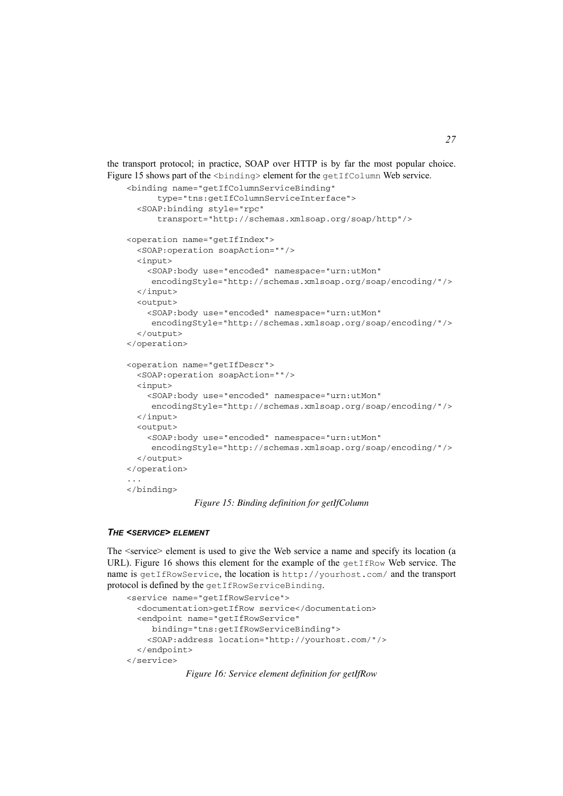the transport protocol; in practice, SOAP over HTTP is by far the most popular choice. [Figure 15](#page-26-0) shows part of the <binding> element for the getIfColumn Web service.

```
<binding name="getIfColumnServiceBinding"
       type="tns:getIfColumnServiceInterface">
   <SOAP:binding style="rpc"
       transport="http://schemas.xmlsoap.org/soap/http"/>
<operation name="getIfIndex">
   <SOAP:operation soapAction=""/>
   <input>
     <SOAP:body use="encoded" namespace="urn:utMon"
      encodingStyle="http://schemas.xmlsoap.org/soap/encoding/"/>
   </input>
   <output> 
     <SOAP:body use="encoded" namespace="urn:utMon"
      encodingStyle="http://schemas.xmlsoap.org/soap/encoding/"/>
   </output>
</operation>
<operation name="getIfDescr">
   <SOAP:operation soapAction=""/> 
   <input>
     <SOAP:body use="encoded" namespace="urn:utMon"
      encodingStyle="http://schemas.xmlsoap.org/soap/encoding/"/>
   </input> 
   <output>
     <SOAP:body use="encoded" namespace="urn:utMon"
      encodingStyle="http://schemas.xmlsoap.org/soap/encoding/"/>
   </output>
</operation>
...
</binding>
```
## *Figure 15: Binding definition for getIfColumn*

#### <span id="page-26-0"></span>*THE <SERVICE> ELEMENT*

The <service> element is used to give the Web service a name and specify its location (a URL). [Figure 16](#page-26-1) shows this element for the example of the getIfRow Web service. The name is getIfRowService, the location is http://yourhost.com/ and the transport protocol is defined by the getIfRowServiceBinding.

```
<service name="getIfRowService">
   <documentation>getIfRow service</documentation>
   <endpoint name="getIfRowService"
      binding="tns:getIfRowServiceBinding">
     <SOAP:address location="http://yourhost.com/"/>
   </endpoint>
</service>
```
<span id="page-26-1"></span>*Figure 16: Service element definition for getIfRow*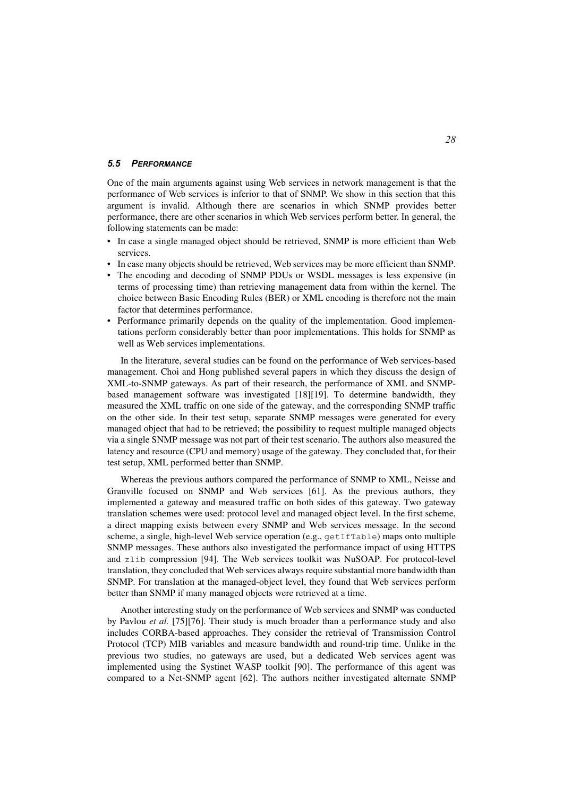#### *5.5 PERFORMANCE*

One of the main arguments against using Web services in network management is that the performance of Web services is inferior to that of SNMP. We show in this section that this argument is invalid. Although there are scenarios in which SNMP provides better performance, there are other scenarios in which Web services perform better. In general, the following statements can be made:

- In case a single managed object should be retrieved, SNMP is more efficient than Web services.
- In case many objects should be retrieved, Web services may be more efficient than SNMP.
- The encoding and decoding of SNMP PDUs or WSDL messages is less expensive (in terms of processing time) than retrieving management data from within the kernel. The choice between Basic Encoding Rules (BER) or XML encoding is therefore not the main factor that determines performance.
- Performance primarily depends on the quality of the implementation. Good implementations perform considerably better than poor implementations. This holds for SNMP as well as Web services implementations.

In the literature, several studies can be found on the performance of Web services-based management. Choi and Hong published several papers in which they discuss the design of XML-to-SNMP gateways. As part of their research, the performance of XML and SNMPbased management software was investigated [18][19]. To determine bandwidth, they measured the XML traffic on one side of the gateway, and the corresponding SNMP traffic on the other side. In their test setup, separate SNMP messages were generated for every managed object that had to be retrieved; the possibility to request multiple managed objects via a single SNMP message was not part of their test scenario. The authors also measured the latency and resource (CPU and memory) usage of the gateway. They concluded that, for their test setup, XML performed better than SNMP.

Whereas the previous authors compared the performance of SNMP to XML, Neisse and Granville focused on SNMP and Web services [61]. As the previous authors, they implemented a gateway and measured traffic on both sides of this gateway. Two gateway translation schemes were used: protocol level and managed object level. In the first scheme, a direct mapping exists between every SNMP and Web services message. In the second scheme, a single, high-level Web service operation (e.g., getIfTable) maps onto multiple SNMP messages. These authors also investigated the performance impact of using HTTPS and zlib compression [94]. The Web services toolkit was NuSOAP. For protocol-level translation, they concluded that Web services always require substantial more bandwidth than SNMP. For translation at the managed-object level, they found that Web services perform better than SNMP if many managed objects were retrieved at a time.

Another interesting study on the performance of Web services and SNMP was conducted by Pavlou *et al.* [75][76]. Their study is much broader than a performance study and also includes CORBA-based approaches. They consider the retrieval of Transmission Control Protocol (TCP) MIB variables and measure bandwidth and round-trip time. Unlike in the previous two studies, no gateways are used, but a dedicated Web services agent was implemented using the Systinet WASP toolkit [90]. The performance of this agent was compared to a Net-SNMP agent [\[62\]](#page-53-8). The authors neither investigated alternate SNMP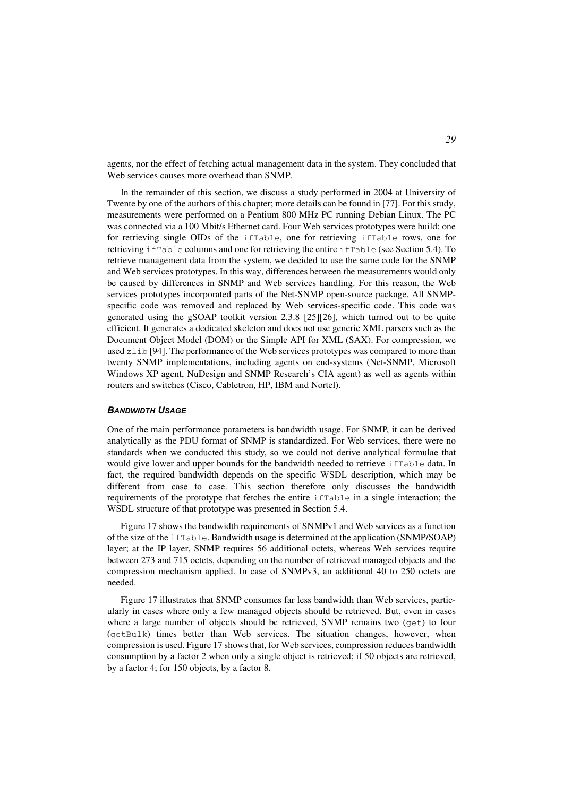agents, nor the effect of fetching actual management data in the system. They concluded that Web services causes more overhead than SNMP.

In the remainder of this section, we discuss a study performed in 2004 at University of Twente by one of the authors of this chapter; more details can be found in [77]. For this study, measurements were performed on a Pentium 800 MHz PC running Debian Linux. The PC was connected via a 100 Mbit/s Ethernet card. Four Web services prototypes were build: one for retrieving single OIDs of the ifTable, one for retrieving ifTable rows, one for retrieving ifTable columns and one for retrieving the entire ifTable (see [Section 5.4\)](#page-20-0). To retrieve management data from the system, we decided to use the same code for the SNMP and Web services prototypes. In this way, differences between the measurements would only be caused by differences in SNMP and Web services handling. For this reason, the Web services prototypes incorporated parts of the Net-SNMP open-source package. All SNMPspecific code was removed and replaced by Web services-specific code. This code was generated using the gSOAP toolkit version 2.3.8 [25][26], which turned out to be quite efficient. It generates a dedicated skeleton and does not use generic XML parsers such as the Document Object Model (DOM) or the Simple API for XML (SAX). For compression, we used zlib [94]. The performance of the Web services prototypes was compared to more than twenty SNMP implementations, including agents on end-systems (Net-SNMP, Microsoft Windows XP agent, NuDesign and SNMP Research's CIA agent) as well as agents within routers and switches (Cisco, Cabletron, HP, IBM and Nortel).

#### *BANDWIDTH USAGE*

One of the main performance parameters is bandwidth usage. For SNMP, it can be derived analytically as the PDU format of SNMP is standardized. For Web services, there were no standards when we conducted this study, so we could not derive analytical formulae that would give lower and upper bounds for the bandwidth needed to retrieve if Table data. In fact, the required bandwidth depends on the specific WSDL description, which may be different from case to case. This section therefore only discusses the bandwidth requirements of the prototype that fetches the entire ifTable in a single interaction; the WSDL structure of that prototype was presented in [Section 5.4.](#page-20-0)

Figure 17 shows the bandwidth requirements of SNMPv1 and Web services as a function of the size of the ifTable. Bandwidth usage is determined at the application (SNMP/SOAP) layer; at the IP layer, SNMP requires 56 additional octets, whereas Web services require between 273 and 715 octets, depending on the number of retrieved managed objects and the compression mechanism applied. In case of SNMPv3, an additional 40 to 250 octets are needed.

Figure 17 illustrates that SNMP consumes far less bandwidth than Web services, particularly in cases where only a few managed objects should be retrieved. But, even in cases where a large number of objects should be retrieved, SNMP remains two  $(qet)$  to four (getBulk) times better than Web services. The situation changes, however, when compression is used. Figure 17 shows that, for Web services, compression reduces bandwidth consumption by a factor 2 when only a single object is retrieved; if 50 objects are retrieved, by a factor 4; for 150 objects, by a factor 8.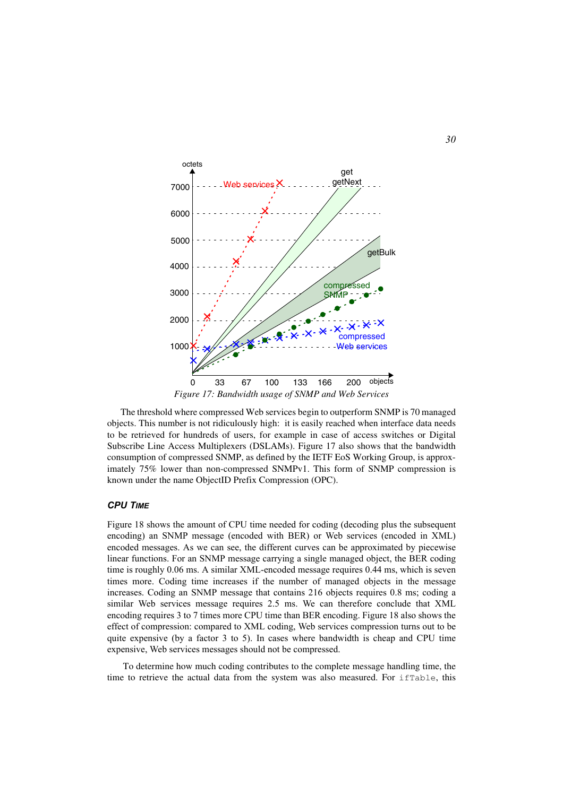![](_page_29_Figure_0.jpeg)

The threshold where compressed Web services begin to outperform SNMP is 70 managed objects. This number is not ridiculously high: it is easily reached when interface data needs to be retrieved for hundreds of users, for example in case of access switches or Digital Subscribe Line Access Multiplexers (DSLAMs). Figure 17 also shows that the bandwidth consumption of compressed SNMP, as defined by the IETF EoS Working Group, is approximately 75% lower than non-compressed SNMPv1. This form of SNMP compression is known under the name ObjectID Prefix Compression (OPC).

## *CPU TIME*

Figure 18 shows the amount of CPU time needed for coding (decoding plus the subsequent encoding) an SNMP message (encoded with BER) or Web services (encoded in XML) encoded messages. As we can see, the different curves can be approximated by piecewise linear functions. For an SNMP message carrying a single managed object, the BER coding time is roughly 0.06 ms. A similar XML-encoded message requires 0.44 ms, which is seven times more. Coding time increases if the number of managed objects in the message increases. Coding an SNMP message that contains 216 objects requires 0.8 ms; coding a similar Web services message requires 2.5 ms. We can therefore conclude that XML encoding requires 3 to 7 times more CPU time than BER encoding. Figure 18 also shows the effect of compression: compared to XML coding, Web services compression turns out to be quite expensive (by a factor 3 to 5). In cases where bandwidth is cheap and CPU time expensive, Web services messages should not be compressed.

 To determine how much coding contributes to the complete message handling time, the time to retrieve the actual data from the system was also measured. For ifTable, this

*30*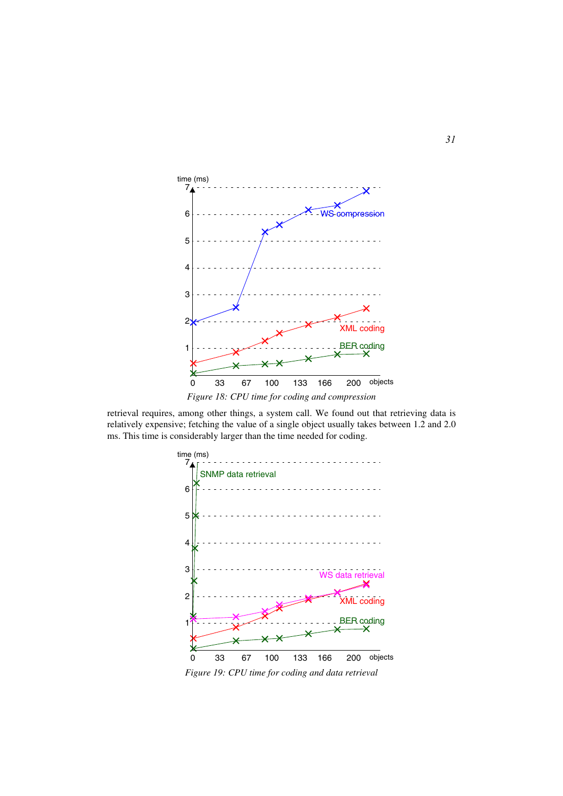![](_page_30_Figure_0.jpeg)

retrieval requires, among other things, a system call. We found out that retrieving data is relatively expensive; fetching the value of a single object usually takes between 1.2 and 2.0 ms. This time is considerably larger than the time needed for coding.

![](_page_30_Figure_2.jpeg)

*Figure 19: CPU time for coding and data retrieval*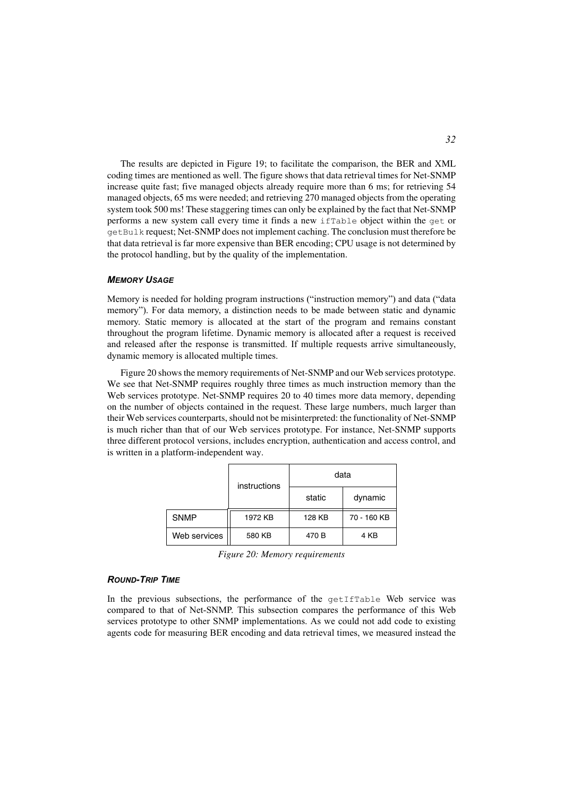The results are depicted in Figure 19; to facilitate the comparison, the BER and XML coding times are mentioned as well. The figure shows that data retrieval times for Net-SNMP increase quite fast; five managed objects already require more than 6 ms; for retrieving 54 managed objects, 65 ms were needed; and retrieving 270 managed objects from the operating system took 500 ms! These staggering times can only be explained by the fact that Net-SNMP performs a new system call every time it finds a new ifTable object within the get or getBulk request; Net-SNMP does not implement caching. The conclusion must therefore be that data retrieval is far more expensive than BER encoding; CPU usage is not determined by the protocol handling, but by the quality of the implementation.

#### *MEMORY USAGE*

Memory is needed for holding program instructions ("instruction memory") and data ("data memory"). For data memory, a distinction needs to be made between static and dynamic memory. Static memory is allocated at the start of the program and remains constant throughout the program lifetime. Dynamic memory is allocated after a request is received and released after the response is transmitted. If multiple requests arrive simultaneously, dynamic memory is allocated multiple times.

Figure 20 shows the memory requirements of Net-SNMP and our Web services prototype. We see that Net-SNMP requires roughly three times as much instruction memory than the Web services prototype. Net-SNMP requires 20 to 40 times more data memory, depending on the number of objects contained in the request. These large numbers, much larger than their Web services counterparts, should not be misinterpreted: the functionality of Net-SNMP is much richer than that of our Web services prototype. For instance, Net-SNMP supports three different protocol versions, includes encryption, authentication and access control, and is written in a platform-independent way.

|              | instructions | data   |             |  |
|--------------|--------------|--------|-------------|--|
|              |              | static | dynamic     |  |
| <b>SNMP</b>  | 1972 KB      | 128 KB | 70 - 160 KB |  |
| Web services | 580 KB       | 470 B  | 4 KB        |  |

*Figure 20: Memory requirements*

## *ROUND-TRIP TIME*

In the previous subsections, the performance of the getIfTable Web service was compared to that of Net-SNMP. This subsection compares the performance of this Web services prototype to other SNMP implementations. As we could not add code to existing agents code for measuring BER encoding and data retrieval times, we measured instead the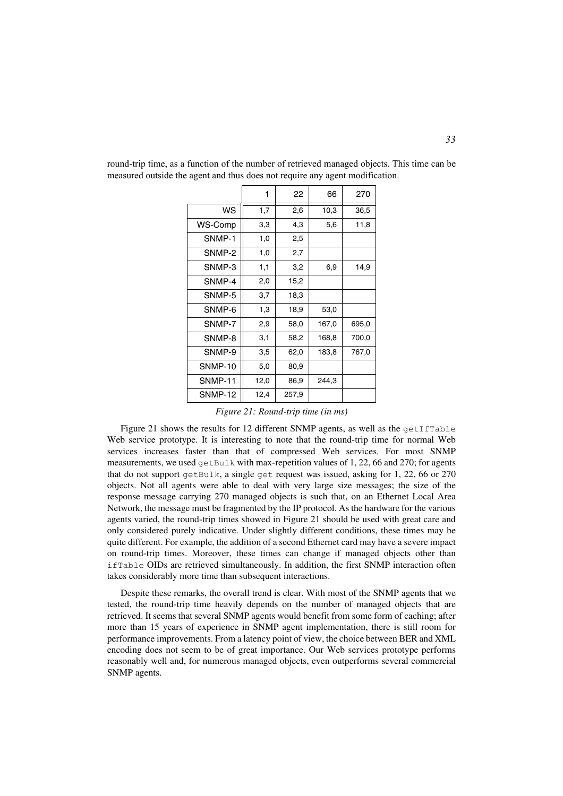|         | 1    | 22    | 66    | 270   |
|---------|------|-------|-------|-------|
| WS      | 1,7  | 2,6   | 10,3  | 36,5  |
| WS-Comp | 3,3  | 4,3   | 5,6   | 11,8  |
| SNMP-1  | 1,0  | 2,5   |       |       |
| SNMP-2  | 1,0  | 2,7   |       |       |
| SNMP-3  | 1,1  | 3,2   | 6,9   | 14,9  |
| SNMP-4  | 2,0  | 15,2  |       |       |
| SNMP-5  | 3,7  | 18,3  |       |       |
| SNMP-6  | 1,3  | 18,9  | 53,0  |       |
| SNMP-7  | 2,9  | 58,0  | 167,0 | 695,0 |
| SNMP-8  | 3,1  | 58,2  | 168,8 | 700,0 |
| SNMP-9  | 3,5  | 62,0  | 183,8 | 767,0 |
| SNMP-10 | 5,0  | 80,9  |       |       |
| SNMP-11 | 12,0 | 86,9  | 244,3 |       |
| SNMP-12 | 12,4 | 257,9 |       |       |

round-trip time, as a function of the number of retrieved managed objects. This time can be measured outside the agent and thus does not require any agent modification.

*Figure 21: Round-trip time (in ms)*

Figure 21 shows the results for 12 different SNMP agents, as well as the getIfTable Web service prototype. It is interesting to note that the round-trip time for normal Web services increases faster than that of compressed Web services. For most SNMP measurements, we used  $q$ etBulk with max-repetition values of 1, 22, 66 and 270; for agents that do not support  $q$ etBulk, a single  $q$ et request was issued, asking for 1, 22, 66 or 270 objects. Not all agents were able to deal with very large size messages; the size of the response message carrying 270 managed objects is such that, on an Ethernet Local Area Network, the message must be fragmented by the IP protocol. As the hardware for the various agents varied, the round-trip times showed in Figure 21 should be used with great care and only considered purely indicative. Under slightly different conditions, these times may be quite different. For example, the addition of a second Ethernet card may have a severe impact on round-trip times. Moreover, these times can change if managed objects other than ifTable OIDs are retrieved simultaneously. In addition, the first SNMP interaction often takes considerably more time than subsequent interactions.

Despite these remarks, the overall trend is clear. With most of the SNMP agents that we tested, the round-trip time heavily depends on the number of managed objects that are retrieved. It seems that several SNMP agents would benefit from some form of caching; after more than 15 years of experience in SNMP agent implementation, there is still room for performance improvements. From a latency point of view, the choice between BER and XML encoding does not seem to be of great importance. Our Web services prototype performs reasonably well and, for numerous managed objects, even outperforms several commercial SNMP agents.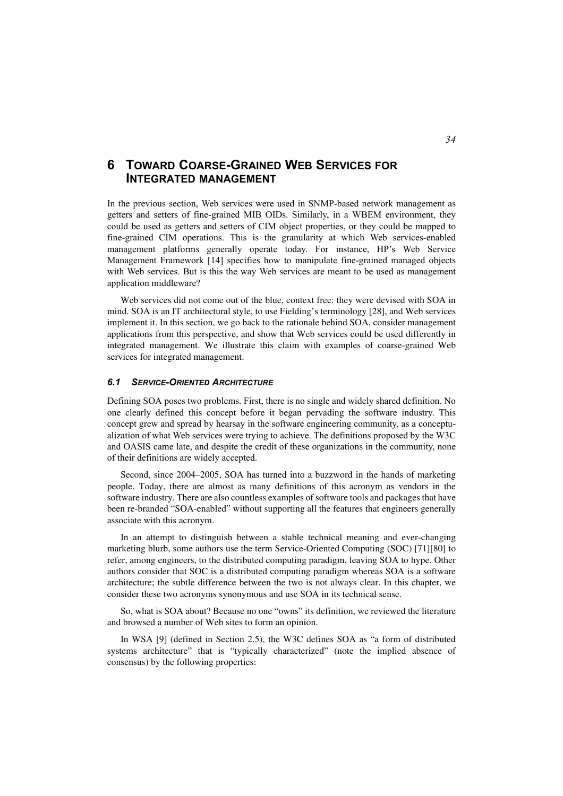## <span id="page-33-0"></span>**6 TOWARD COARSE-GRAINED WEB SERVICES FOR INTEGRATED MANAGEMENT**

In the previous section, Web services were used in SNMP-based network management as getters and setters of fine-grained MIB OIDs. Similarly, in a WBEM environment, they could be used as getters and setters of CIM object properties, or they could be mapped to fine-grained CIM operations. This is the granularity at which Web services-enabled management platforms generally operate today. For instance, HP's Web Service Management Framework [\[14\]](#page-51-5) specifies how to manipulate fine-grained managed objects with Web services. But is this the way Web services are meant to be used as management application middleware?

Web services did not come out of the blue, context free: they were devised with SOA in mind. SOA is an IT architectural style, to use Fielding's terminology [\[28\],](#page-52-6) and Web services implement it. In this section, we go back to the rationale behind SOA, consider management applications from this perspective, and show that Web services could be used differently in integrated management. We illustrate this claim with examples of coarse-grained Web services for integrated management.

#### *6.1 SERVICE-ORIENTED ARCHITECTURE*

Defining SOA poses two problems. First, there is no single and widely shared definition. No one clearly defined this concept before it began pervading the software industry. This concept grew and spread by hearsay in the software engineering community, as a conceptualization of what Web services were trying to achieve. The definitions proposed by the W3C and OASIS came late, and despite the credit of these organizations in the community, none of their definitions are widely accepted.

Second, since 2004–2005, SOA has turned into a buzzword in the hands of marketing people. Today, there are almost as many definitions of this acronym as vendors in the software industry. There are also countless examples of software tools and packages that have been re-branded "SOA-enabled" without supporting all the features that engineers generally associate with this acronym.

In an attempt to distinguish between a stable technical meaning and ever-changing marketing blurb, some authors use the term Service-Oriented Computing (SOC) [71][\[80\]](#page-54-3) to refer, among engineers, to the distributed computing paradigm, leaving SOA to hype. Other authors consider that SOC is a distributed computing paradigm whereas SOA is a software architecture; the subtle difference between the two is not always clear. In this chapter, we consider these two acronyms synonymous and use SOA in its technical sense.

So, what is SOA about? Because no one "owns" its definition, we reviewed the literature and browsed a number of Web sites to form an opinion.

In WSA [9] (defined in [Section 2.5](#page-9-1)), the W3C defines SOA as "a form of distributed systems architecture" that is "typically characterized" (note the implied absence of consensus) by the following properties: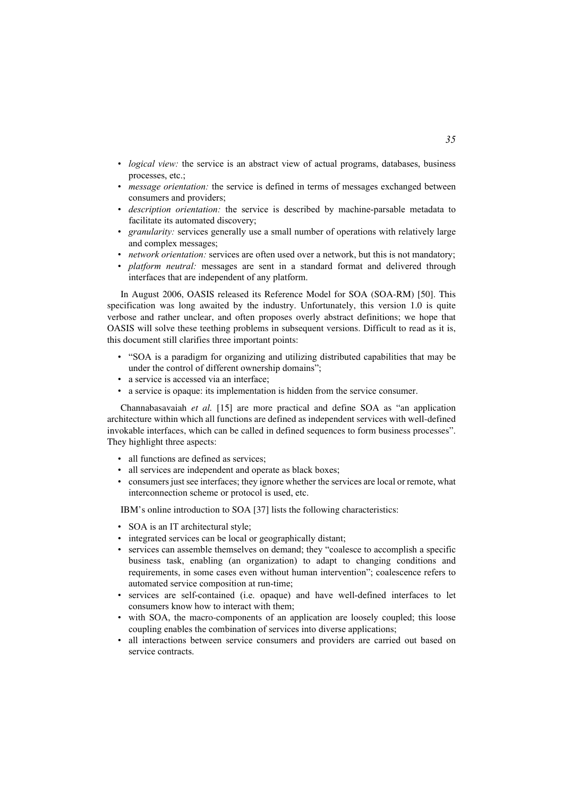- *logical view:* the service is an abstract view of actual programs, databases, business processes, etc.;
- *message orientation:* the service is defined in terms of messages exchanged between consumers and providers;
- *description orientation:* the service is described by machine-parsable metadata to facilitate its automated discovery;
- *granularity:* services generally use a small number of operations with relatively large and complex messages;
- *network orientation:* services are often used over a network, but this is not mandatory;
- *platform neutral:* messages are sent in a standard format and delivered through interfaces that are independent of any platform.

In August 2006, OASIS released its Reference Model for SOA (SOA-RM) [\[50\].](#page-53-9) This specification was long awaited by the industry. Unfortunately, this version 1.0 is quite verbose and rather unclear, and often proposes overly abstract definitions; we hope that OASIS will solve these teething problems in subsequent versions. Difficult to read as it is, this document still clarifies three important points:

- "SOA is a paradigm for organizing and utilizing distributed capabilities that may be under the control of different ownership domains";
- a service is accessed via an interface;
- a service is opaque: its implementation is hidden from the service consumer.

Channabasavaiah *et al.* [15] are more practical and define SOA as "an application architecture within which all functions are defined as independent services with well-defined invokable interfaces, which can be called in defined sequences to form business processes". They highlight three aspects:

- all functions are defined as services;
- all services are independent and operate as black boxes;
- consumers just see interfaces; they ignore whether the services are local or remote, what interconnection scheme or protocol is used, etc.

IBM's online introduction to SOA [37] lists the following characteristics:

- SOA is an IT architectural style;
- integrated services can be local or geographically distant;
- services can assemble themselves on demand; they "coalesce to accomplish a specific business task, enabling (an organization) to adapt to changing conditions and requirements, in some cases even without human intervention"; coalescence refers to automated service composition at run-time;
- services are self-contained (i.e. opaque) and have well-defined interfaces to let consumers know how to interact with them;
- with SOA, the macro-components of an application are loosely coupled; this loose coupling enables the combination of services into diverse applications;
- all interactions between service consumers and providers are carried out based on service contracts.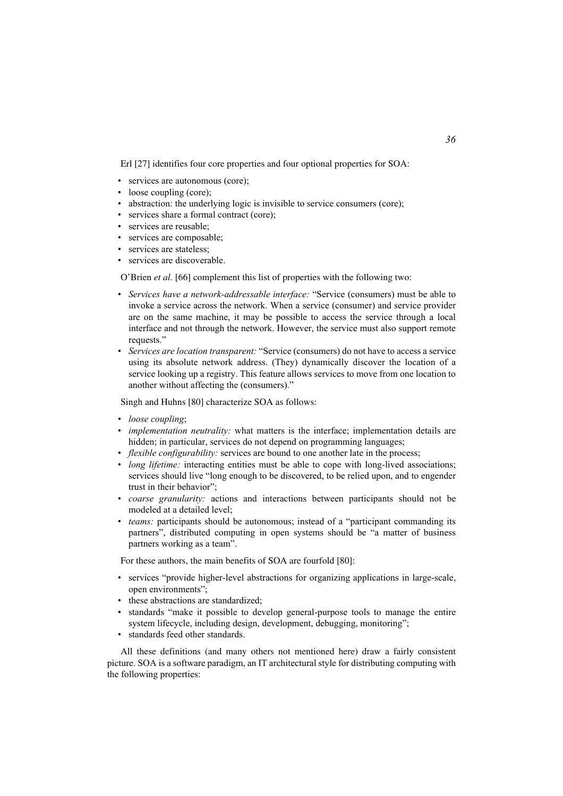Erl [\[27\]](#page-51-6) identifies four core properties and four optional properties for SOA:

- services are autonomous (core);
- loose coupling (core);
- abstraction: the underlying logic is invisible to service consumers (core);
- services share a formal contract (core):
- services are reusable;
- services are composable;
- services are stateless;
- services are discoverable.

O'Brien *et al.* [\[66\]](#page-53-10) complement this list of properties with the following two:

- *Services have a network-addressable interface:* "Service (consumers) must be able to invoke a service across the network. When a service (consumer) and service provider are on the same machine, it may be possible to access the service through a local interface and not through the network. However, the service must also support remote requests."
- *Services are location transparent:* "Service (consumers) do not have to access a service using its absolute network address. (They) dynamically discover the location of a service looking up a registry. This feature allows services to move from one location to another without affecting the (consumers)."

Singh and Huhns [\[80\]](#page-54-3) characterize SOA as follows:

- *loose coupling*;
- *implementation neutrality:* what matters is the interface; implementation details are hidden; in particular, services do not depend on programming languages;
- *flexible configurability:* services are bound to one another late in the process;
- *long lifetime:* interacting entities must be able to cope with long-lived associations; services should live "long enough to be discovered, to be relied upon, and to engender trust in their behavior";
- *coarse granularity:* actions and interactions between participants should not be modeled at a detailed level;
- *teams:* participants should be autonomous; instead of a "participant commanding its partners", distributed computing in open systems should be "a matter of business partners working as a team".

For these authors, the main benefits of SOA are fourfold [\[80\]:](#page-54-3)

- services "provide higher-level abstractions for organizing applications in large-scale, open environments";
- these abstractions are standardized;
- standards "make it possible to develop general-purpose tools to manage the entire system lifecycle, including design, development, debugging, monitoring";
- standards feed other standards.

All these definitions (and many others not mentioned here) draw a fairly consistent picture. SOA is a software paradigm, an IT architectural style for distributing computing with the following properties: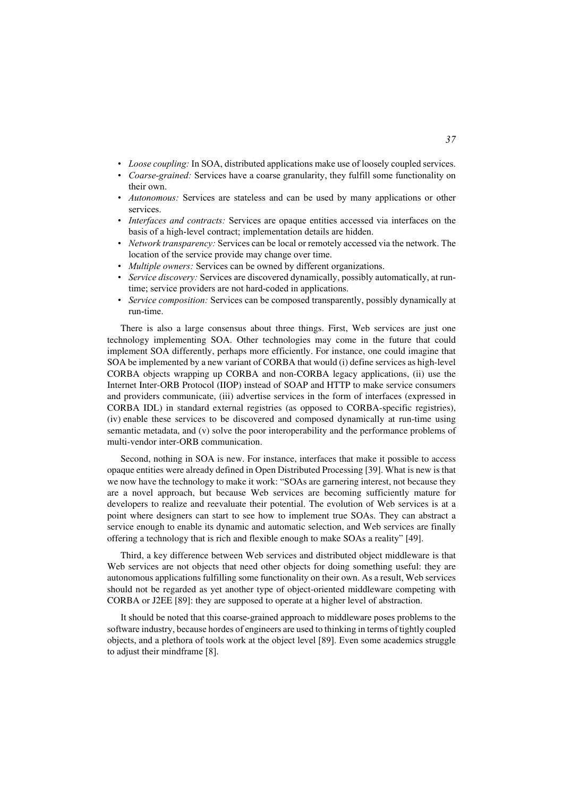- *Loose coupling:* In SOA, distributed applications make use of loosely coupled services.
- *Coarse-grained:* Services have a coarse granularity, they fulfill some functionality on their own.
- *Autonomous:* Services are stateless and can be used by many applications or other services.
- *Interfaces and contracts:* Services are opaque entities accessed via interfaces on the basis of a high-level contract; implementation details are hidden.
- *Network transparency:* Services can be local or remotely accessed via the network. The location of the service provide may change over time.
- *Multiple owners:* Services can be owned by different organizations.
- *Service discovery:* Services are discovered dynamically, possibly automatically, at runtime; service providers are not hard-coded in applications.
- *Service composition:* Services can be composed transparently, possibly dynamically at run-time.

There is also a large consensus about three things. First, Web services are just one technology implementing SOA. Other technologies may come in the future that could implement SOA differently, perhaps more efficiently. For instance, one could imagine that SOA be implemented by a new variant of CORBA that would (i) define services as high-level CORBA objects wrapping up CORBA and non-CORBA legacy applications, (ii) use the Internet Inter-ORB Protocol (IIOP) instead of SOAP and HTTP to make service consumers and providers communicate, (iii) advertise services in the form of interfaces (expressed in CORBA IDL) in standard external registries (as opposed to CORBA-specific registries), (iv) enable these services to be discovered and composed dynamically at run-time using semantic metadata, and (v) solve the poor interoperability and the performance problems of multi-vendor inter-ORB communication.

Second, nothing in SOA is new. For instance, interfaces that make it possible to access opaque entities were already defined in Open Distributed Processing [\[39\]](#page-52-7). What is new is that we now have the technology to make it work: "SOAs are garnering interest, not because they are a novel approach, but because Web services are becoming sufficiently mature for developers to realize and reevaluate their potential. The evolution of Web services is at a point where designers can start to see how to implement true SOAs. They can abstract a service enough to enable its dynamic and automatic selection, and Web services are finally offering a technology that is rich and flexible enough to make SOAs a reality" [49].

Third, a key difference between Web services and distributed object middleware is that Web services are not objects that need other objects for doing something useful: they are autonomous applications fulfilling some functionality on their own. As a result, Web services should not be regarded as yet another type of object-oriented middleware competing with CORBA or J2EE [89]: they are supposed to operate at a higher level of abstraction.

It should be noted that this coarse-grained approach to middleware poses problems to the software industry, because hordes of engineers are used to thinking in terms of tightly coupled objects, and a plethora of tools work at the object level [89]. Even some academics struggle to adjust their mindframe [\[8\].](#page-50-0)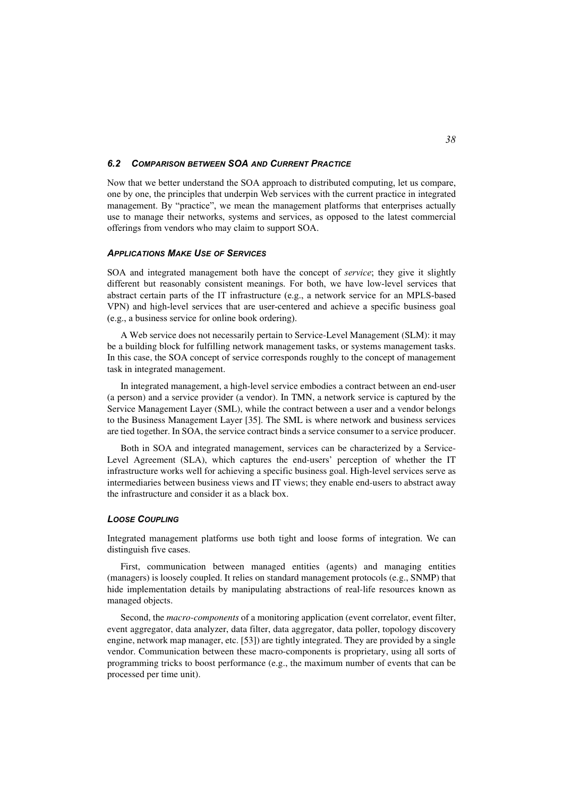### <span id="page-37-0"></span>*6.2 COMPARISON BETWEEN SOA AND CURRENT PRACTICE*

Now that we better understand the SOA approach to distributed computing, let us compare, one by one, the principles that underpin Web services with the current practice in integrated management. By "practice", we mean the management platforms that enterprises actually use to manage their networks, systems and services, as opposed to the latest commercial offerings from vendors who may claim to support SOA.

## *APPLICATIONS MAKE USE OF SERVICES*

SOA and integrated management both have the concept of *service*; they give it slightly different but reasonably consistent meanings. For both, we have low-level services that abstract certain parts of the IT infrastructure (e.g., a network service for an MPLS-based VPN) and high-level services that are user-centered and achieve a specific business goal (e.g., a business service for online book ordering).

A Web service does not necessarily pertain to Service-Level Management (SLM): it may be a building block for fulfilling network management tasks, or systems management tasks. In this case, the SOA concept of service corresponds roughly to the concept of management task in integrated management.

In integrated management, a high-level service embodies a contract between an end-user (a person) and a service provider (a vendor). In TMN, a network service is captured by the Service Management Layer (SML), while the contract between a user and a vendor belongs to the Business Management Layer [35]. The SML is where network and business services are tied together. In SOA, the service contract binds a service consumer to a service producer.

Both in SOA and integrated management, services can be characterized by a Service-Level Agreement (SLA), which captures the end-users' perception of whether the IT infrastructure works well for achieving a specific business goal. High-level services serve as intermediaries between business views and IT views; they enable end-users to abstract away the infrastructure and consider it as a black box.

#### <span id="page-37-1"></span>*LOOSE COUPLING*

Integrated management platforms use both tight and loose forms of integration. We can distinguish five cases.

First, communication between managed entities (agents) and managing entities (managers) is loosely coupled. It relies on standard management protocols (e.g., SNMP) that hide implementation details by manipulating abstractions of real-life resources known as managed objects.

Second, the *macro-components* of a monitoring application (event correlator, event filter, event aggregator, data analyzer, data filter, data aggregator, data poller, topology discovery engine, network map manager, etc. [53]) are tightly integrated. They are provided by a single vendor. Communication between these macro-components is proprietary, using all sorts of programming tricks to boost performance (e.g., the maximum number of events that can be processed per time unit).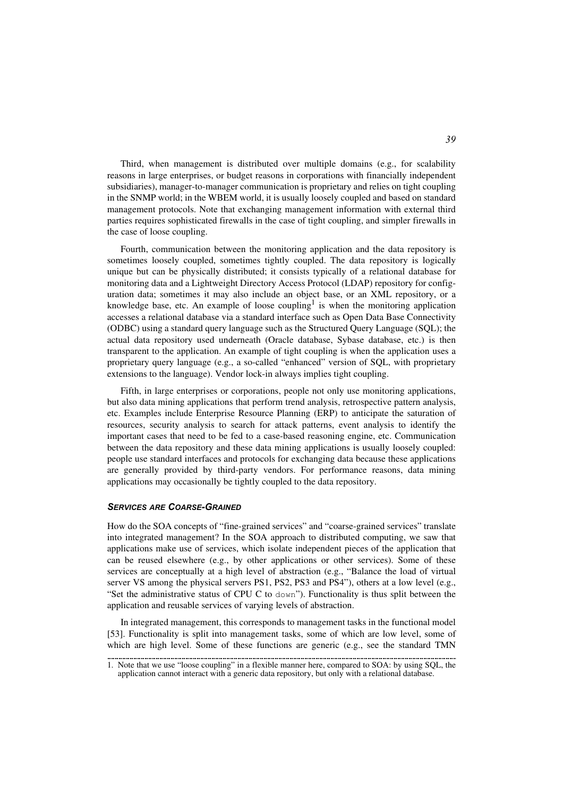Third, when management is distributed over multiple domains (e.g., for scalability reasons in large enterprises, or budget reasons in corporations with financially independent subsidiaries), manager-to-manager communication is proprietary and relies on tight coupling in the SNMP world; in the WBEM world, it is usually loosely coupled and based on standard management protocols. Note that exchanging management information with external third parties requires sophisticated firewalls in the case of tight coupling, and simpler firewalls in the case of loose coupling.

Fourth, communication between the monitoring application and the data repository is sometimes loosely coupled, sometimes tightly coupled. The data repository is logically unique but can be physically distributed; it consists typically of a relational database for monitoring data and a Lightweight Directory Access Protocol (LDAP) repository for configuration data; sometimes it may also include an object base, or an XML repository, or a knowledge base, etc. An example of loose coupling<sup>1</sup> is when the monitoring application accesses a relational database via a standard interface such as Open Data Base Connectivity (ODBC) using a standard query language such as the Structured Query Language (SQL); the actual data repository used underneath (Oracle database, Sybase database, etc.) is then transparent to the application. An example of tight coupling is when the application uses a proprietary query language (e.g., a so-called "enhanced" version of SQL, with proprietary extensions to the language). Vendor lock-in always implies tight coupling.

Fifth, in large enterprises or corporations, people not only use monitoring applications, but also data mining applications that perform trend analysis, retrospective pattern analysis, etc. Examples include Enterprise Resource Planning (ERP) to anticipate the saturation of resources, security analysis to search for attack patterns, event analysis to identify the important cases that need to be fed to a case-based reasoning engine, etc. Communication between the data repository and these data mining applications is usually loosely coupled: people use standard interfaces and protocols for exchanging data because these applications are generally provided by third-party vendors. For performance reasons, data mining applications may occasionally be tightly coupled to the data repository.

#### *SERVICES ARE COARSE-GRAINED*

How do the SOA concepts of "fine-grained services" and "coarse-grained services" translate into integrated management? In the SOA approach to distributed computing, we saw that applications make use of services, which isolate independent pieces of the application that can be reused elsewhere (e.g., by other applications or other services). Some of these services are conceptually at a high level of abstraction (e.g., "Balance the load of virtual server VS among the physical servers PS1, PS2, PS3 and PS4"), others at a low level (e.g., "Set the administrative status of CPU C to down"). Functionality is thus split between the application and reusable services of varying levels of abstraction.

In integrated management, this corresponds to management tasks in the functional model [53]. Functionality is split into management tasks, some of which are low level, some of which are high level. Some of these functions are generic (e.g., see the standard TMN

<sup>1.</sup> Note that we use "loose coupling" in a flexible manner here, compared to SOA: by using SQL, the application cannot interact with a generic data repository, but only with a relational database.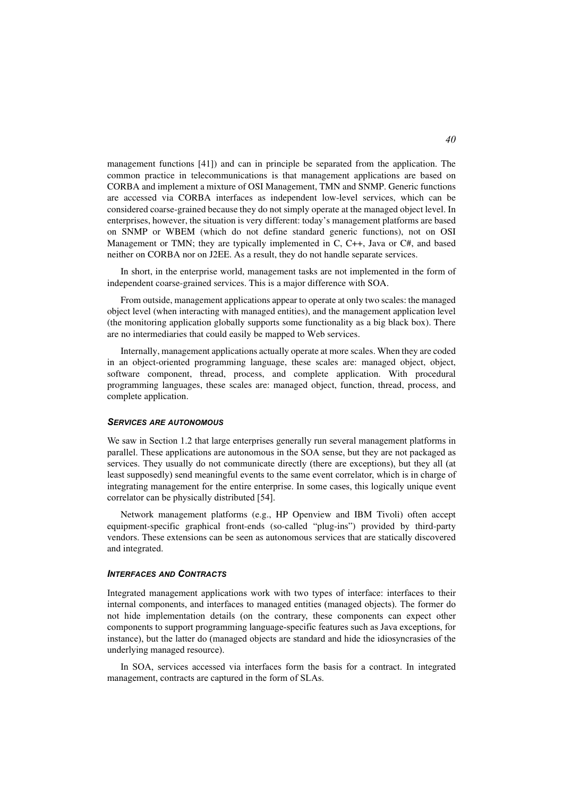management functions [\[41\]](#page-52-8)) and can in principle be separated from the application. The common practice in telecommunications is that management applications are based on CORBA and implement a mixture of OSI Management, TMN and SNMP. Generic functions are accessed via CORBA interfaces as independent low-level services, which can be considered coarse-grained because they do not simply operate at the managed object level. In enterprises, however, the situation is very different: today's management platforms are based on SNMP or WBEM (which do not define standard generic functions), not on OSI Management or TMN; they are typically implemented in C, C++, Java or C#, and based neither on CORBA nor on J2EE. As a result, they do not handle separate services.

In short, in the enterprise world, management tasks are not implemented in the form of independent coarse-grained services. This is a major difference with SOA.

From outside, management applications appear to operate at only two scales: the managed object level (when interacting with managed entities), and the management application level (the monitoring application globally supports some functionality as a big black box). There are no intermediaries that could easily be mapped to Web services.

Internally, management applications actually operate at more scales. When they are coded in an object-oriented programming language, these scales are: managed object, object, software component, thread, process, and complete application. With procedural programming languages, these scales are: managed object, function, thread, process, and complete application.

#### *SERVICES ARE AUTONOMOUS*

We saw in [Section 1.2](#page-1-0) that large enterprises generally run several management platforms in parallel. These applications are autonomous in the SOA sense, but they are not packaged as services. They usually do not communicate directly (there are exceptions), but they all (at least supposedly) send meaningful events to the same event correlator, which is in charge of integrating management for the entire enterprise. In some cases, this logically unique event correlator can be physically distributed [\[54\]](#page-53-1).

Network management platforms (e.g., HP Openview and IBM Tivoli) often accept equipment-specific graphical front-ends (so-called "plug-ins") provided by third-party vendors. These extensions can be seen as autonomous services that are statically discovered and integrated.

### *INTERFACES AND CONTRACTS*

Integrated management applications work with two types of interface: interfaces to their internal components, and interfaces to managed entities (managed objects). The former do not hide implementation details (on the contrary, these components can expect other components to support programming language-specific features such as Java exceptions, for instance), but the latter do (managed objects are standard and hide the idiosyncrasies of the underlying managed resource).

In SOA, services accessed via interfaces form the basis for a contract. In integrated management, contracts are captured in the form of SLAs.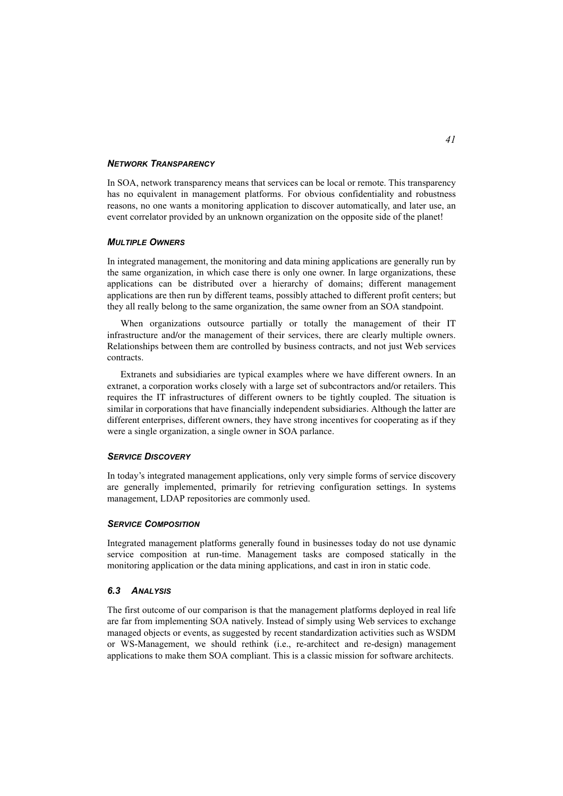#### *NETWORK TRANSPARENCY*

In SOA, network transparency means that services can be local or remote. This transparency has no equivalent in management platforms. For obvious confidentiality and robustness reasons, no one wants a monitoring application to discover automatically, and later use, an event correlator provided by an unknown organization on the opposite side of the planet!

## *MULTIPLE OWNERS*

In integrated management, the monitoring and data mining applications are generally run by the same organization, in which case there is only one owner. In large organizations, these applications can be distributed over a hierarchy of domains; different management applications are then run by different teams, possibly attached to different profit centers; but they all really belong to the same organization, the same owner from an SOA standpoint.

When organizations outsource partially or totally the management of their IT infrastructure and/or the management of their services, there are clearly multiple owners. Relationships between them are controlled by business contracts, and not just Web services contracts.

Extranets and subsidiaries are typical examples where we have different owners. In an extranet, a corporation works closely with a large set of subcontractors and/or retailers. This requires the IT infrastructures of different owners to be tightly coupled. The situation is similar in corporations that have financially independent subsidiaries. Although the latter are different enterprises, different owners, they have strong incentives for cooperating as if they were a single organization, a single owner in SOA parlance.

### *SERVICE DISCOVERY*

In today's integrated management applications, only very simple forms of service discovery are generally implemented, primarily for retrieving configuration settings. In systems management, LDAP repositories are commonly used.

#### *SERVICE COMPOSITION*

Integrated management platforms generally found in businesses today do not use dynamic service composition at run-time. Management tasks are composed statically in the monitoring application or the data mining applications, and cast in iron in static code.

#### *6.3 ANALYSIS*

The first outcome of our comparison is that the management platforms deployed in real life are far from implementing SOA natively. Instead of simply using Web services to exchange managed objects or events, as suggested by recent standardization activities such as WSDM or WS-Management, we should rethink (i.e., re-architect and re-design) management applications to make them SOA compliant. This is a classic mission for software architects.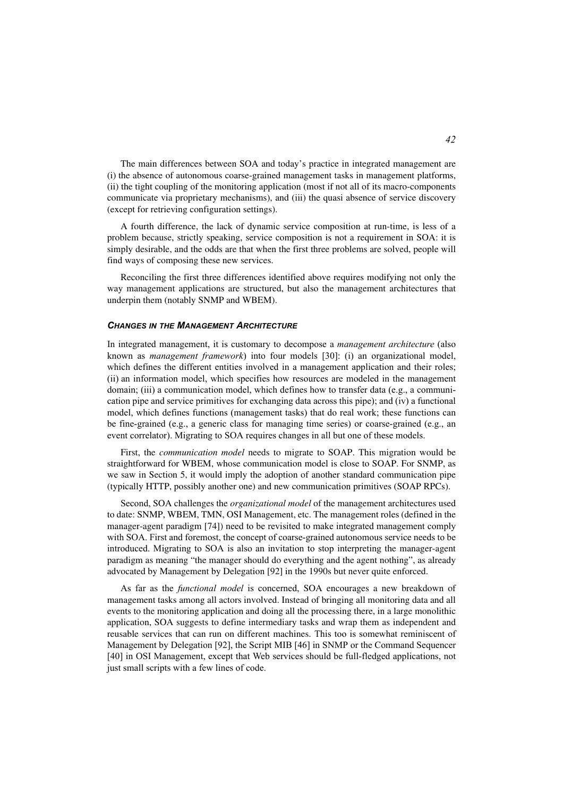The main differences between SOA and today's practice in integrated management are (i) the absence of autonomous coarse-grained management tasks in management platforms, (ii) the tight coupling of the monitoring application (most if not all of its macro-components communicate via proprietary mechanisms), and (iii) the quasi absence of service discovery (except for retrieving configuration settings).

A fourth difference, the lack of dynamic service composition at run-time, is less of a problem because, strictly speaking, service composition is not a requirement in SOA: it is simply desirable, and the odds are that when the first three problems are solved, people will find ways of composing these new services.

Reconciling the first three differences identified above requires modifying not only the way management applications are structured, but also the management architectures that underpin them (notably SNMP and WBEM).

#### *CHANGES IN THE MANAGEMENT ARCHITECTURE*

In integrated management, it is customary to decompose a *management architecture* (also known as *management framework*) into four models [30]: (i) an organizational model, which defines the different entities involved in a management application and their roles; (ii) an information model, which specifies how resources are modeled in the management domain; (iii) a communication model, which defines how to transfer data (e.g., a communication pipe and service primitives for exchanging data across this pipe); and (iv) a functional model, which defines functions (management tasks) that do real work; these functions can be fine-grained (e.g., a generic class for managing time series) or coarse-grained (e.g., an event correlator). Migrating to SOA requires changes in all but one of these models.

First, the *communication model* needs to migrate to SOAP. This migration would be straightforward for WBEM, whose communication model is close to SOAP. For SNMP, as we saw in [Section 5,](#page-16-0) it would imply the adoption of another standard communication pipe (typically HTTP, possibly another one) and new communication primitives (SOAP RPCs).

Second, SOA challenges the *organizational model* of the management architectures used to date: SNMP, WBEM, TMN, OSI Management, etc. The management roles (defined in the manager-agent paradigm [74]) need to be revisited to make integrated management comply with SOA. First and foremost, the concept of coarse-grained autonomous service needs to be introduced. Migrating to SOA is also an invitation to stop interpreting the manager-agent paradigm as meaning "the manager should do everything and the agent nothing", as already advocated by Management by Delegation [92] in the 1990s but never quite enforced.

As far as the *functional model* is concerned, SOA encourages a new breakdown of management tasks among all actors involved. Instead of bringing all monitoring data and all events to the monitoring application and doing all the processing there, in a large monolithic application, SOA suggests to define intermediary tasks and wrap them as independent and reusable services that can run on different machines. This too is somewhat reminiscent of Management by Delegation [92], the Script MIB [\[46\]](#page-52-9) in SNMP or the Command Sequencer [\[40\]](#page-52-10) in OSI Management, except that Web services should be full-fledged applications, not just small scripts with a few lines of code.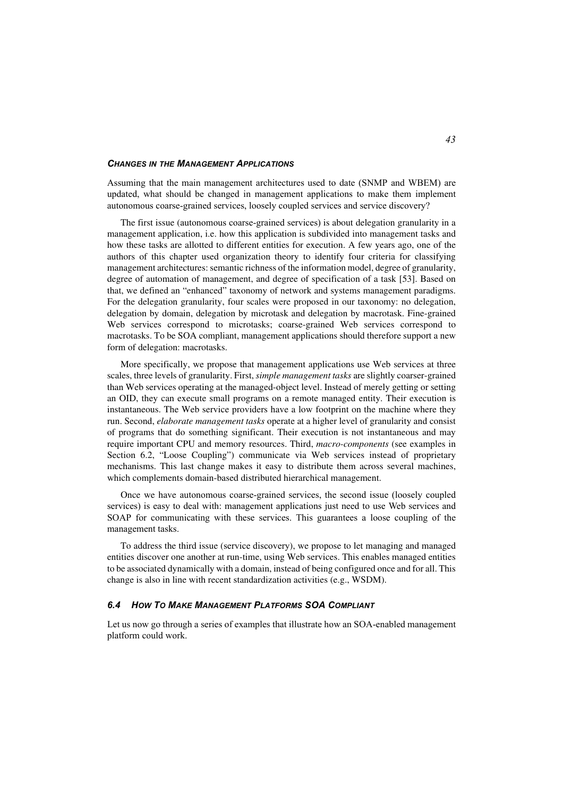#### *CHANGES IN THE MANAGEMENT APPLICATIONS*

Assuming that the main management architectures used to date (SNMP and WBEM) are updated, what should be changed in management applications to make them implement autonomous coarse-grained services, loosely coupled services and service discovery?

The first issue (autonomous coarse-grained services) is about delegation granularity in a management application, i.e. how this application is subdivided into management tasks and how these tasks are allotted to different entities for execution. A few years ago, one of the authors of this chapter used organization theory to identify four criteria for classifying management architectures: semantic richness of the information model, degree of granularity, degree of automation of management, and degree of specification of a task [53]. Based on that, we defined an "enhanced" taxonomy of network and systems management paradigms. For the delegation granularity, four scales were proposed in our taxonomy: no delegation, delegation by domain, delegation by microtask and delegation by macrotask. Fine-grained Web services correspond to microtasks; coarse-grained Web services correspond to macrotasks. To be SOA compliant, management applications should therefore support a new form of delegation: macrotasks.

More specifically, we propose that management applications use Web services at three scales, three levels of granularity. First, *simple management tasks* are slightly coarser-grained than Web services operating at the managed-object level. Instead of merely getting or setting an OID, they can execute small programs on a remote managed entity. Their execution is instantaneous. The Web service providers have a low footprint on the machine where they run. Second, *elaborate management tasks* operate at a higher level of granularity and consist of programs that do something significant. Their execution is not instantaneous and may require important CPU and memory resources. Third, *macro-components* (see examples in [Section 6.2,](#page-37-0) "[Loose Coupling"](#page-37-1)) communicate via Web services instead of proprietary mechanisms. This last change makes it easy to distribute them across several machines, which complements domain-based distributed hierarchical management.

Once we have autonomous coarse-grained services, the second issue (loosely coupled services) is easy to deal with: management applications just need to use Web services and SOAP for communicating with these services. This guarantees a loose coupling of the management tasks.

To address the third issue (service discovery), we propose to let managing and managed entities discover one another at run-time, using Web services. This enables managed entities to be associated dynamically with a domain, instead of being configured once and for all. This change is also in line with recent standardization activities (e.g., WSDM).

#### *6.4 HOW TO MAKE MANAGEMENT PLATFORMS SOA COMPLIANT*

Let us now go through a series of examples that illustrate how an SOA-enabled management platform could work.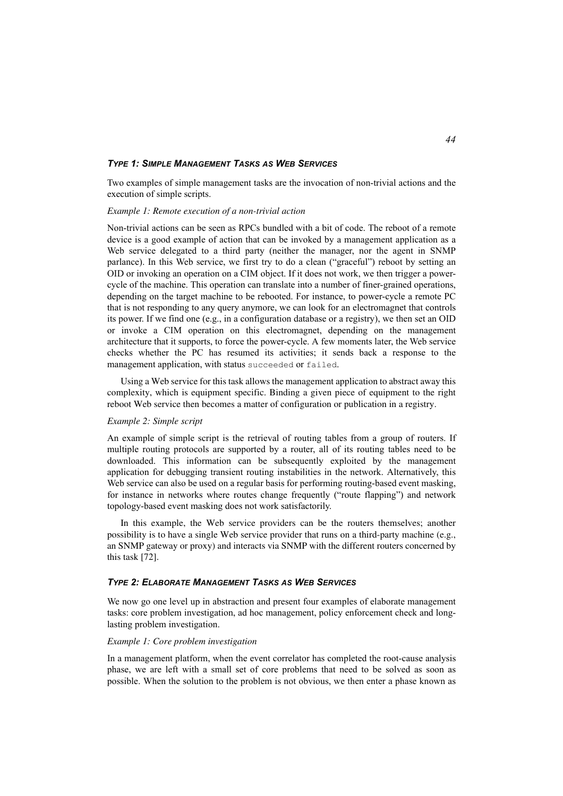### *TYPE 1: SIMPLE MANAGEMENT TASKS AS WEB SERVICES*

Two examples of simple management tasks are the invocation of non-trivial actions and the execution of simple scripts.

#### *Example 1: Remote execution of a non-trivial action*

Non-trivial actions can be seen as RPCs bundled with a bit of code. The reboot of a remote device is a good example of action that can be invoked by a management application as a Web service delegated to a third party (neither the manager, nor the agent in SNMP parlance). In this Web service, we first try to do a clean ("graceful") reboot by setting an OID or invoking an operation on a CIM object. If it does not work, we then trigger a powercycle of the machine. This operation can translate into a number of finer-grained operations, depending on the target machine to be rebooted. For instance, to power-cycle a remote PC that is not responding to any query anymore, we can look for an electromagnet that controls its power. If we find one (e.g., in a configuration database or a registry), we then set an OID or invoke a CIM operation on this electromagnet, depending on the management architecture that it supports, to force the power-cycle. A few moments later, the Web service checks whether the PC has resumed its activities; it sends back a response to the management application, with status succeeded or failed.

Using a Web service for this task allows the management application to abstract away this complexity, which is equipment specific. Binding a given piece of equipment to the right reboot Web service then becomes a matter of configuration or publication in a registry.

### *Example 2: Simple script*

An example of simple script is the retrieval of routing tables from a group of routers. If multiple routing protocols are supported by a router, all of its routing tables need to be downloaded. This information can be subsequently exploited by the management application for debugging transient routing instabilities in the network. Alternatively, this Web service can also be used on a regular basis for performing routing-based event masking. for instance in networks where routes change frequently ("route flapping") and network topology-based event masking does not work satisfactorily.

In this example, the Web service providers can be the routers themselves; another possibility is to have a single Web service provider that runs on a third-party machine (e.g., an SNMP gateway or proxy) and interacts via SNMP with the different routers concerned by this task [\[72\]](#page-54-4).

### *TYPE 2: ELABORATE MANAGEMENT TASKS AS WEB SERVICES*

We now go one level up in abstraction and present four examples of elaborate management tasks: core problem investigation, ad hoc management, policy enforcement check and longlasting problem investigation.

#### *Example 1: Core problem investigation*

In a management platform, when the event correlator has completed the root-cause analysis phase, we are left with a small set of core problems that need to be solved as soon as possible. When the solution to the problem is not obvious, we then enter a phase known as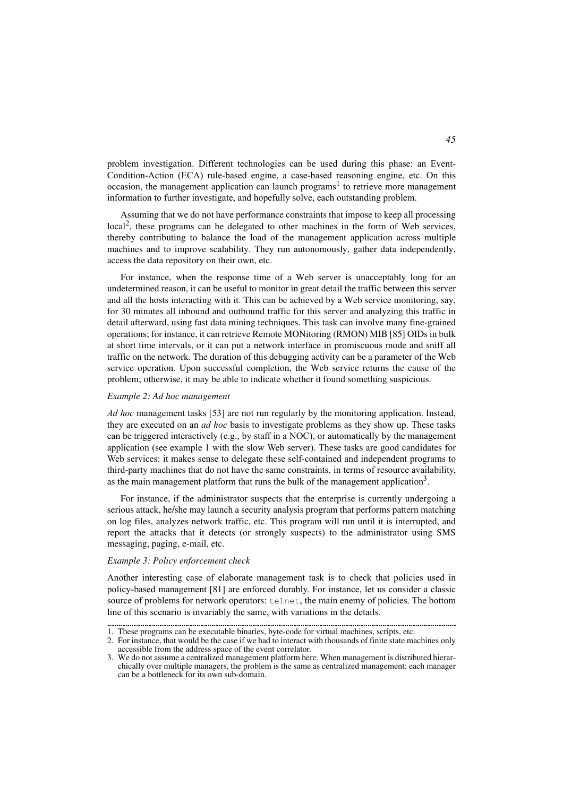problem investigation. Different technologies can be used during this phase: an Event-Condition-Action (ECA) rule-based engine, a case-based reasoning engine, etc. On this occasion, the management application can launch programs<sup>1</sup> to retrieve more management information to further investigate, and hopefully solve, each outstanding problem.

Assuming that we do not have performance constraints that impose to keep all processing  $\text{local}^2$ , these programs can be delegated to other machines in the form of Web services, thereby contributing to balance the load of the management application across multiple machines and to improve scalability. They run autonomously, gather data independently, access the data repository on their own, etc.

For instance, when the response time of a Web server is unacceptably long for an undetermined reason, it can be useful to monitor in great detail the traffic between this server and all the hosts interacting with it. This can be achieved by a Web service monitoring, say, for 30 minutes all inbound and outbound traffic for this server and analyzing this traffic in detail afterward, using fast data mining techniques. This task can involve many fine-grained operations; for instance, it can retrieve Remote MONitoring (RMON) MIB [85] OIDs in bulk at short time intervals, or it can put a network interface in promiscuous mode and sniff all traffic on the network. The duration of this debugging activity can be a parameter of the Web service operation. Upon successful completion, the Web service returns the cause of the problem; otherwise, it may be able to indicate whether it found something suspicious.

#### *Example 2: Ad hoc management*

*Ad hoc* management tasks [53] are not run regularly by the monitoring application. Instead, they are executed on an *ad hoc* basis to investigate problems as they show up. These tasks can be triggered interactively (e.g., by staff in a NOC), or automatically by the management application (see example 1 with the slow Web server). These tasks are good candidates for Web services: it makes sense to delegate these self-contained and independent programs to third-party machines that do not have the same constraints, in terms of resource availability, as the main management platform that runs the bulk of the management application<sup>3</sup>.

For instance, if the administrator suspects that the enterprise is currently undergoing a serious attack, he/she may launch a security analysis program that performs pattern matching on log files, analyzes network traffic, etc. This program will run until it is interrupted, and report the attacks that it detects (or strongly suspects) to the administrator using SMS messaging, paging, e-mail, etc.

#### *Example 3: Policy enforcement check*

Another interesting case of elaborate management task is to check that policies used in policy-based management [\[81\]](#page-54-5) are enforced durably. For instance, let us consider a classic source of problems for network operators: telnet, the main enemy of policies. The bottom line of this scenario is invariably the same, with variations in the details.

<sup>1.</sup> These programs can be executable binaries, byte-code for virtual machines, scripts, etc.

<sup>2.</sup> For instance, that would be the case if we had to interact with thousands of finite state machines only accessible from the address space of the event correlator.

<sup>3.</sup> We do not assume a centralized management platform here. When management is distributed hierarchically over multiple managers, the problem is the same as centralized management: each manager can be a bottleneck for its own sub-domain.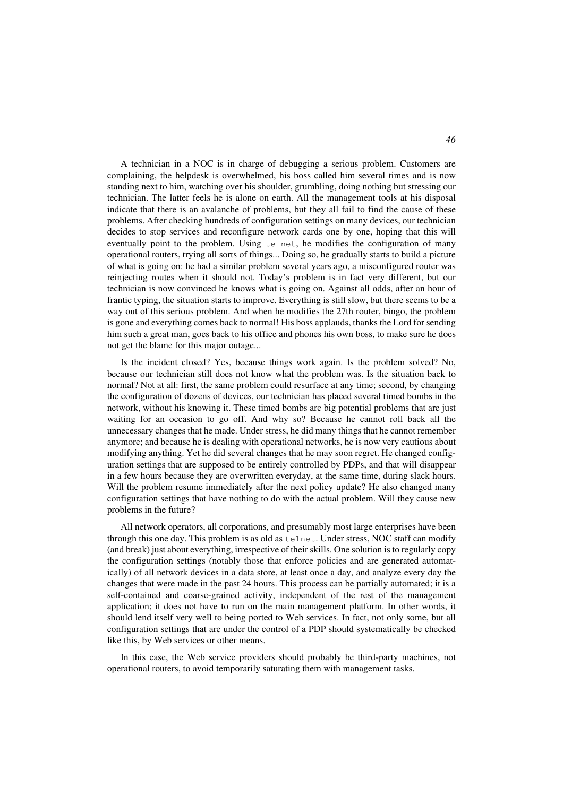A technician in a NOC is in charge of debugging a serious problem. Customers are complaining, the helpdesk is overwhelmed, his boss called him several times and is now standing next to him, watching over his shoulder, grumbling, doing nothing but stressing our technician. The latter feels he is alone on earth. All the management tools at his disposal indicate that there is an avalanche of problems, but they all fail to find the cause of these problems. After checking hundreds of configuration settings on many devices, our technician decides to stop services and reconfigure network cards one by one, hoping that this will eventually point to the problem. Using telnet, he modifies the configuration of many operational routers, trying all sorts of things... Doing so, he gradually starts to build a picture of what is going on: he had a similar problem several years ago, a misconfigured router was reinjecting routes when it should not. Today's problem is in fact very different, but our technician is now convinced he knows what is going on. Against all odds, after an hour of frantic typing, the situation starts to improve. Everything is still slow, but there seems to be a way out of this serious problem. And when he modifies the 27th router, bingo, the problem is gone and everything comes back to normal! His boss applauds, thanks the Lord for sending him such a great man, goes back to his office and phones his own boss, to make sure he does not get the blame for this major outage...

Is the incident closed? Yes, because things work again. Is the problem solved? No, because our technician still does not know what the problem was. Is the situation back to normal? Not at all: first, the same problem could resurface at any time; second, by changing the configuration of dozens of devices, our technician has placed several timed bombs in the network, without his knowing it. These timed bombs are big potential problems that are just waiting for an occasion to go off. And why so? Because he cannot roll back all the unnecessary changes that he made. Under stress, he did many things that he cannot remember anymore; and because he is dealing with operational networks, he is now very cautious about modifying anything. Yet he did several changes that he may soon regret. He changed configuration settings that are supposed to be entirely controlled by PDPs, and that will disappear in a few hours because they are overwritten everyday, at the same time, during slack hours. Will the problem resume immediately after the next policy update? He also changed many configuration settings that have nothing to do with the actual problem. Will they cause new problems in the future?

All network operators, all corporations, and presumably most large enterprises have been through this one day. This problem is as old as telnet. Under stress, NOC staff can modify (and break) just about everything, irrespective of their skills. One solution is to regularly copy the configuration settings (notably those that enforce policies and are generated automatically) of all network devices in a data store, at least once a day, and analyze every day the changes that were made in the past 24 hours. This process can be partially automated; it is a self-contained and coarse-grained activity, independent of the rest of the management application; it does not have to run on the main management platform. In other words, it should lend itself very well to being ported to Web services. In fact, not only some, but all configuration settings that are under the control of a PDP should systematically be checked like this, by Web services or other means.

In this case, the Web service providers should probably be third-party machines, not operational routers, to avoid temporarily saturating them with management tasks.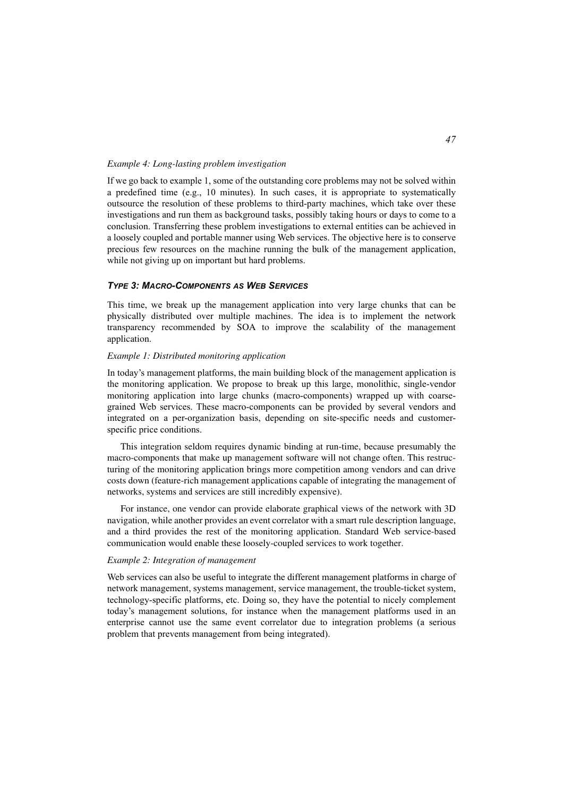#### *Example 4: Long-lasting problem investigation*

If we go back to example 1, some of the outstanding core problems may not be solved within a predefined time (e.g., 10 minutes). In such cases, it is appropriate to systematically outsource the resolution of these problems to third-party machines, which take over these investigations and run them as background tasks, possibly taking hours or days to come to a conclusion. Transferring these problem investigations to external entities can be achieved in a loosely coupled and portable manner using Web services. The objective here is to conserve precious few resources on the machine running the bulk of the management application, while not giving up on important but hard problems.

#### *TYPE 3: MACRO-COMPONENTS AS WEB SERVICES*

This time, we break up the management application into very large chunks that can be physically distributed over multiple machines. The idea is to implement the network transparency recommended by SOA to improve the scalability of the management application.

### *Example 1: Distributed monitoring application*

In today's management platforms, the main building block of the management application is the monitoring application. We propose to break up this large, monolithic, single-vendor monitoring application into large chunks (macro-components) wrapped up with coarsegrained Web services. These macro-components can be provided by several vendors and integrated on a per-organization basis, depending on site-specific needs and customerspecific price conditions.

This integration seldom requires dynamic binding at run-time, because presumably the macro-components that make up management software will not change often. This restructuring of the monitoring application brings more competition among vendors and can drive costs down (feature-rich management applications capable of integrating the management of networks, systems and services are still incredibly expensive).

For instance, one vendor can provide elaborate graphical views of the network with 3D navigation, while another provides an event correlator with a smart rule description language, and a third provides the rest of the monitoring application. Standard Web service-based communication would enable these loosely-coupled services to work together.

#### *Example 2: Integration of management*

Web services can also be useful to integrate the different management platforms in charge of network management, systems management, service management, the trouble-ticket system, technology-specific platforms, etc. Doing so, they have the potential to nicely complement today's management solutions, for instance when the management platforms used in an enterprise cannot use the same event correlator due to integration problems (a serious problem that prevents management from being integrated).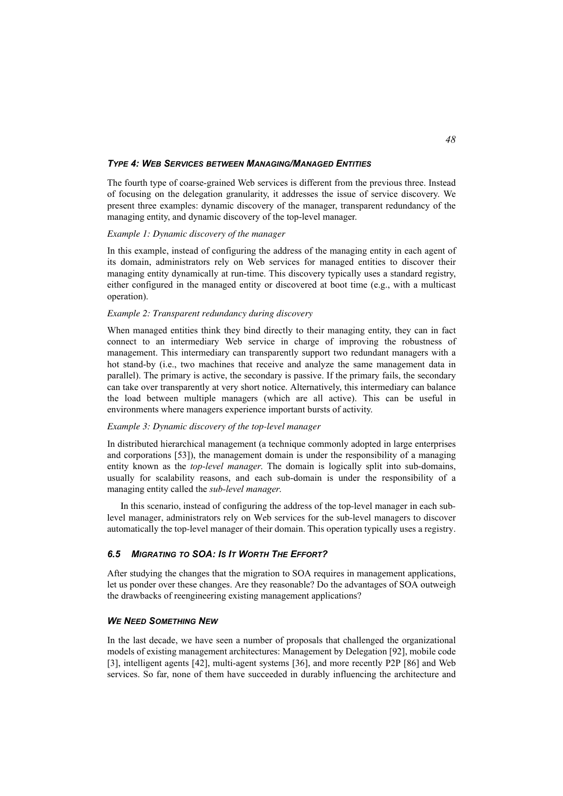## *TYPE 4: WEB SERVICES BETWEEN MANAGING/MANAGED ENTITIES*

The fourth type of coarse-grained Web services is different from the previous three. Instead of focusing on the delegation granularity, it addresses the issue of service discovery. We present three examples: dynamic discovery of the manager, transparent redundancy of the managing entity, and dynamic discovery of the top-level manager.

## *Example 1: Dynamic discovery of the manager*

In this example, instead of configuring the address of the managing entity in each agent of its domain, administrators rely on Web services for managed entities to discover their managing entity dynamically at run-time. This discovery typically uses a standard registry, either configured in the managed entity or discovered at boot time (e.g., with a multicast operation).

#### *Example 2: Transparent redundancy during discovery*

When managed entities think they bind directly to their managing entity, they can in fact connect to an intermediary Web service in charge of improving the robustness of management. This intermediary can transparently support two redundant managers with a hot stand-by (i.e., two machines that receive and analyze the same management data in parallel). The primary is active, the secondary is passive. If the primary fails, the secondary can take over transparently at very short notice. Alternatively, this intermediary can balance the load between multiple managers (which are all active). This can be useful in environments where managers experience important bursts of activity.

#### *Example 3: Dynamic discovery of the top-level manager*

In distributed hierarchical management (a technique commonly adopted in large enterprises and corporations [53]), the management domain is under the responsibility of a managing entity known as the *top-level manager*. The domain is logically split into sub-domains, usually for scalability reasons, and each sub-domain is under the responsibility of a managing entity called the *sub-level manager*.

In this scenario, instead of configuring the address of the top-level manager in each sublevel manager, administrators rely on Web services for the sub-level managers to discover automatically the top-level manager of their domain. This operation typically uses a registry.

### *6.5 MIGRATING TO SOA: IS IT WORTH THE EFFORT?*

After studying the changes that the migration to SOA requires in management applications, let us ponder over these changes. Are they reasonable? Do the advantages of SOA outweigh the drawbacks of reengineering existing management applications?

#### *WE NEED SOMETHING NEW*

In the last decade, we have seen a number of proposals that challenged the organizational models of existing management architectures: Management by Delegation [92], mobile code [3], intelligent agents [42], multi-agent systems [\[36\]](#page-52-11), and more recently P2P [86] and Web services. So far, none of them have succeeded in durably influencing the architecture and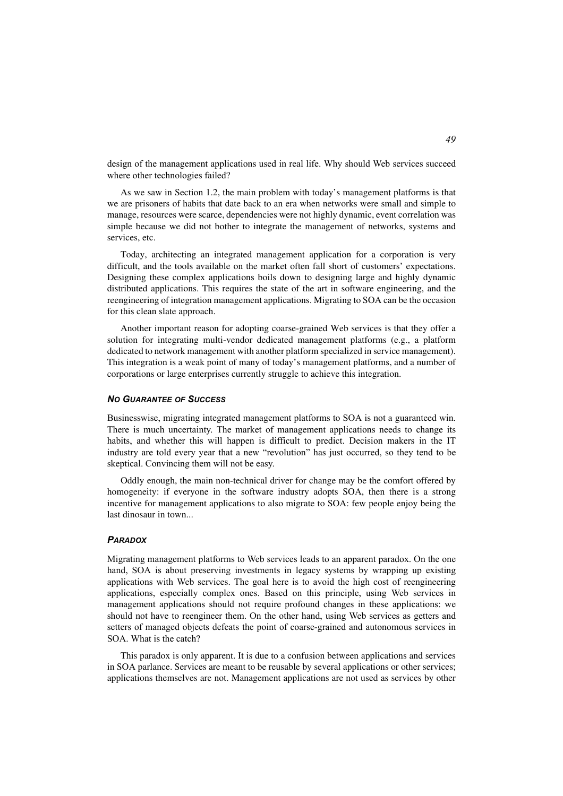design of the management applications used in real life. Why should Web services succeed where other technologies failed?

As we saw in [Section 1.2](#page-1-0), the main problem with today's management platforms is that we are prisoners of habits that date back to an era when networks were small and simple to manage, resources were scarce, dependencies were not highly dynamic, event correlation was simple because we did not bother to integrate the management of networks, systems and services, etc.

Today, architecting an integrated management application for a corporation is very difficult, and the tools available on the market often fall short of customers' expectations. Designing these complex applications boils down to designing large and highly dynamic distributed applications. This requires the state of the art in software engineering, and the reengineering of integration management applications. Migrating to SOA can be the occasion for this clean slate approach.

Another important reason for adopting coarse-grained Web services is that they offer a solution for integrating multi-vendor dedicated management platforms (e.g., a platform dedicated to network management with another platform specialized in service management). This integration is a weak point of many of today's management platforms, and a number of corporations or large enterprises currently struggle to achieve this integration.

## *NO GUARANTEE OF SUCCESS*

Businesswise, migrating integrated management platforms to SOA is not a guaranteed win. There is much uncertainty. The market of management applications needs to change its habits, and whether this will happen is difficult to predict. Decision makers in the IT industry are told every year that a new "revolution" has just occurred, so they tend to be skeptical. Convincing them will not be easy.

Oddly enough, the main non-technical driver for change may be the comfort offered by homogeneity: if everyone in the software industry adopts SOA, then there is a strong incentive for management applications to also migrate to SOA: few people enjoy being the last dinosaur in town...

#### *PARADOX*

Migrating management platforms to Web services leads to an apparent paradox. On the one hand, SOA is about preserving investments in legacy systems by wrapping up existing applications with Web services. The goal here is to avoid the high cost of reengineering applications, especially complex ones. Based on this principle, using Web services in management applications should not require profound changes in these applications: we should not have to reengineer them. On the other hand, using Web services as getters and setters of managed objects defeats the point of coarse-grained and autonomous services in SOA. What is the catch?

This paradox is only apparent. It is due to a confusion between applications and services in SOA parlance. Services are meant to be reusable by several applications or other services; applications themselves are not. Management applications are not used as services by other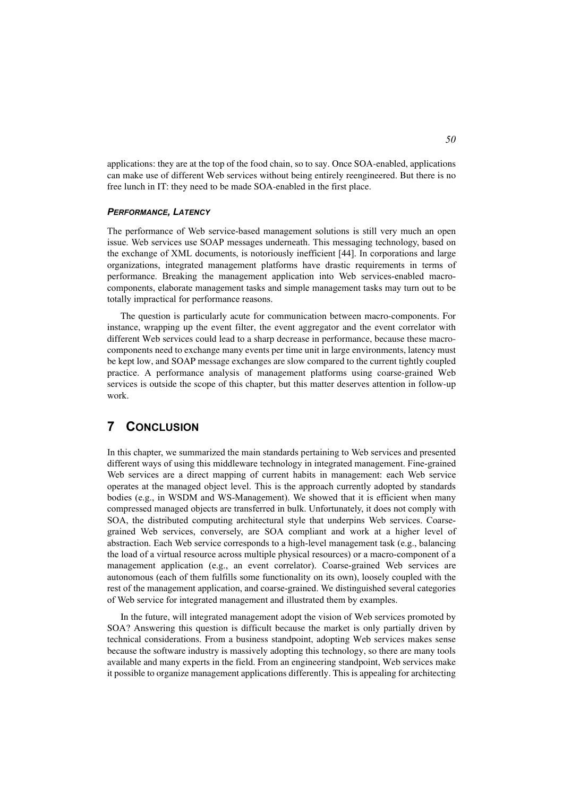applications: they are at the top of the food chain, so to say. Once SOA-enabled, applications can make use of different Web services without being entirely reengineered. But there is no free lunch in IT: they need to be made SOA-enabled in the first place.

### *PERFORMANCE, LATENCY*

The performance of Web service-based management solutions is still very much an open issue. Web services use SOAP messages underneath. This messaging technology, based on the exchange of XML documents, is notoriously inefficient [\[44\]](#page-52-3). In corporations and large organizations, integrated management platforms have drastic requirements in terms of performance. Breaking the management application into Web services-enabled macrocomponents, elaborate management tasks and simple management tasks may turn out to be totally impractical for performance reasons.

The question is particularly acute for communication between macro-components. For instance, wrapping up the event filter, the event aggregator and the event correlator with different Web services could lead to a sharp decrease in performance, because these macrocomponents need to exchange many events per time unit in large environments, latency must be kept low, and SOAP message exchanges are slow compared to the current tightly coupled practice. A performance analysis of management platforms using coarse-grained Web services is outside the scope of this chapter, but this matter deserves attention in follow-up work.

## **7 CONCLUSION**

In this chapter, we summarized the main standards pertaining to Web services and presented different ways of using this middleware technology in integrated management. Fine-grained Web services are a direct mapping of current habits in management: each Web service operates at the managed object level. This is the approach currently adopted by standards bodies (e.g., in WSDM and WS-Management). We showed that it is efficient when many compressed managed objects are transferred in bulk. Unfortunately, it does not comply with SOA, the distributed computing architectural style that underpins Web services. Coarsegrained Web services, conversely, are SOA compliant and work at a higher level of abstraction. Each Web service corresponds to a high-level management task (e.g., balancing the load of a virtual resource across multiple physical resources) or a macro-component of a management application (e.g., an event correlator). Coarse-grained Web services are autonomous (each of them fulfills some functionality on its own), loosely coupled with the rest of the management application, and coarse-grained. We distinguished several categories of Web service for integrated management and illustrated them by examples.

In the future, will integrated management adopt the vision of Web services promoted by SOA? Answering this question is difficult because the market is only partially driven by technical considerations. From a business standpoint, adopting Web services makes sense because the software industry is massively adopting this technology, so there are many tools available and many experts in the field. From an engineering standpoint, Web services make it possible to organize management applications differently. This is appealing for architecting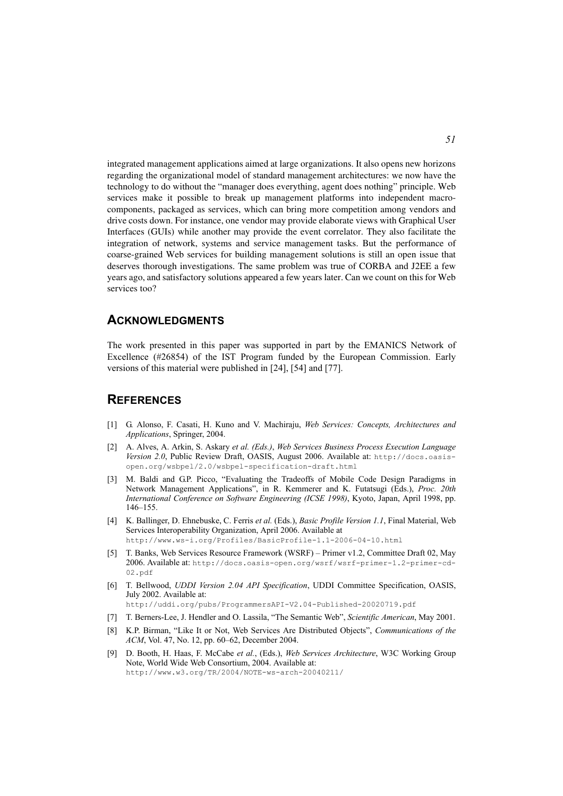integrated management applications aimed at large organizations. It also opens new horizons regarding the organizational model of standard management architectures: we now have the technology to do without the "manager does everything, agent does nothing" principle. Web services make it possible to break up management platforms into independent macrocomponents, packaged as services, which can bring more competition among vendors and drive costs down. For instance, one vendor may provide elaborate views with Graphical User Interfaces (GUIs) while another may provide the event correlator. They also facilitate the integration of network, systems and service management tasks. But the performance of coarse-grained Web services for building management solutions is still an open issue that deserves thorough investigations. The same problem was true of CORBA and J2EE a few years ago, and satisfactory solutions appeared a few years later. Can we count on this for Web services too?

## **ACKNOWLEDGMENTS**

The work presented in this paper was supported in part by the EMANICS Network of Excellence (#26854) of the IST Program funded by the European Commission. Early versions of this material were published in [24], [\[54\]](#page-53-1) and [77].

## **REFERENCES**

- [1] G. Alonso, F. Casati, H. Kuno and V. Machiraju, *Web Services: Concepts, Architectures and Applications*, Springer, 2004.
- [2] A. Alves, A. Arkin, S. Askary *et al. (Eds.)*, *Web Services Business Process Execution Language Version 2.0*, Public Review Draft, OASIS, August 2006. Available at: http://docs.oasisopen.org/wsbpel/2.0/wsbpel-specification-draft.html
- [3] M. Baldi and G.P. Picco, "Evaluating the Tradeoffs of Mobile Code Design Paradigms in Network Management Applications", in R. Kemmerer and K. Futatsugi (Eds.), *Proc. 20th International Conference on Software Engineering (ICSE 1998)*, Kyoto, Japan, April 1998, pp. 146–155.
- [4] K. Ballinger, D. Ehnebuske, C. Ferris *et al.* (Eds.), *Basic Profile Version 1.1*, Final Material, Web Services Interoperability Organization, April 2006. Available at http://www.ws-i.org/Profiles/BasicProfile-1.1-2006-04-10.html
- [5] T. Banks, Web Services Resource Framework (WSRF) Primer v1.2, Committee Draft 02, May 2006. Available at: http://docs.oasis-open.org/wsrf/wsrf-primer-1.2-primer-cd-02.pdf
- [6] T. Bellwood, *UDDI Version 2.04 API Specification*, UDDI Committee Specification, OASIS, July 2002. Available at:

http://uddi.org/pubs/ProgrammersAPI-V2.04-Published-20020719.pdf

- [7] T. Berners-Lee, J. Hendler and O. Lassila, "The Semantic Web", *Scientific American*, May 2001.
- <span id="page-50-0"></span>[8] K.P. Birman, "Like It or Not, Web Services Are Distributed Objects", *Communications of the ACM*, Vol. 47, No. 12, pp. 60–62, December 2004.
- [9] D. Booth, H. Haas, F. McCabe *et al.*, (Eds.), *Web Services Architecture*, W3C Working Group Note, World Wide Web Consortium, 2004. Available at: http://www.w3.org/TR/2004/NOTE-ws-arch-20040211/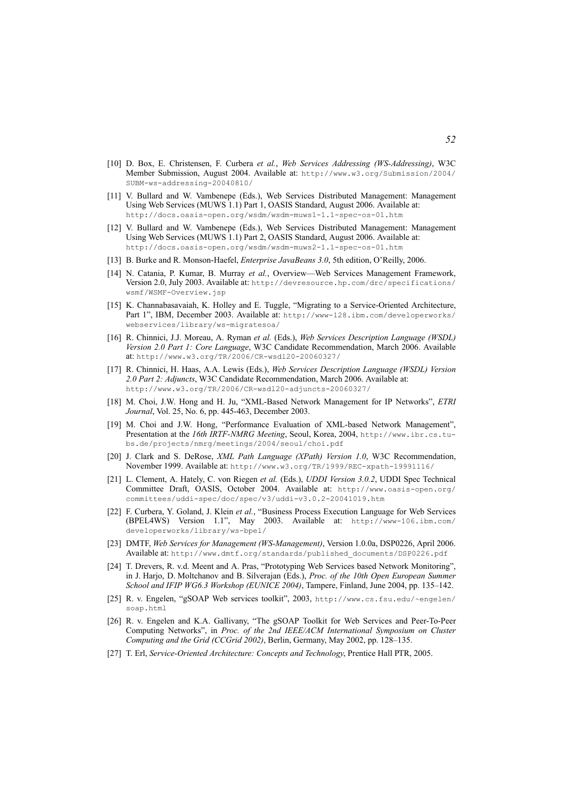- <span id="page-51-2"></span>[10] D. Box, E. Christensen, F. Curbera *et al.*, *Web Services Addressing (WS-Addressing)*, W3C Member Submission, August 2004. Available at: http://www.w3.org/Submission/2004/ SUBM-ws-addressing-20040810/
- <span id="page-51-0"></span>[11] V. Bullard and W. Vambenepe (Eds.), Web Services Distributed Management: Management Using Web Services (MUWS 1.1) Part 1, OASIS Standard, August 2006. Available at: http://docs.oasis-open.org/wsdm/wsdm-muws1-1.1-spec-os-01.htm
- <span id="page-51-1"></span>[12] V. Bullard and W. Vambenepe (Eds.), Web Services Distributed Management: Management Using Web Services (MUWS 1.1) Part 2, OASIS Standard, August 2006. Available at: http://docs.oasis-open.org/wsdm/wsdm-muws2-1.1-spec-os-01.htm
- [13] B. Burke and R. Monson-Haefel, *Enterprise JavaBeans 3.0*, 5th edition, O'Reilly, 2006.
- <span id="page-51-5"></span>[14] N. Catania, P. Kumar, B. Murray *et al.*, Overview—Web Services Management Framework, Version 2.0, July 2003. Available at: http://devresource.hp.com/drc/specifications/ wsmf/WSMF-Overview.jsp
- [15] K. Channabasavaiah, K. Holley and E. Tuggle, "Migrating to a Service-Oriented Architecture, Part 1", IBM, December 2003. Available at: http://www-128.ibm.com/developerworks/ webservices/library/ws-migratesoa/
- [16] R. Chinnici, J.J. Moreau, A. Ryman *et al.* (Eds.), *Web Services Description Language (WSDL) Version 2.0 Part 1: Core Language*, W3C Candidate Recommendation, March 2006. Available at: http://www.w3.org/TR/2006/CR-wsdl20-20060327/
- [17] R. Chinnici, H. Haas, A.A. Lewis (Eds.), *Web Services Description Language (WSDL) Version 2.0 Part 2: Adjuncts*, W3C Candidate Recommendation, March 2006. Available at: http://www.w3.org/TR/2006/CR-wsdl20-adjuncts-20060327/
- [18] M. Choi, J.W. Hong and H. Ju, "XML-Based Network Management for IP Networks", *ETRI Journal*, Vol. 25, No. 6, pp. 445-463, December 2003.
- [19] M. Choi and J.W. Hong, "Performance Evaluation of XML-based Network Management", Presentation at the *16th IRTF-NMRG Meeting*, Seoul, Korea, 2004, http://www.ibr.cs.tubs.de/projects/nmrg/meetings/2004/seoul/choi.pdf
- <span id="page-51-4"></span>[20] J. Clark and S. DeRose, *XML Path Language (XPath) Version 1.0*, W3C Recommendation, November 1999. Available at: http://www.w3.org/TR/1999/REC-xpath-19991116/
- [21] L. Clement, A. Hately, C. von Riegen *et al.* (Eds.), *UDDI Version 3.0.2*, UDDI Spec Technical Committee Draft, OASIS, October 2004. Available at: http://www.oasis-open.org/ committees/uddi-spec/doc/spec/v3/uddi-v3.0.2-20041019.htm
- [22] F. Curbera, Y. Goland, J. Klein et al., "Business Process Execution Language for Web Services (BPEL4WS) Version 1.1", May 2003. Available at: http://www-106.ibm.com/ developerworks/library/ws-bpel/
- <span id="page-51-3"></span>[23] DMTF, *Web Services for Management (WS-Management)*, Version 1.0.0a, DSP0226, April 2006. Available at: http://www.dmtf.org/standards/published\_documents/DSP0226.pdf
- [24] T. Drevers, R. v.d. Meent and A. Pras, "Prototyping Web Services based Network Monitoring", in J. Harjo, D. Moltchanov and B. Silverajan (Eds.), *Proc. of the 10th Open European Summer School and IFIP WG6.3 Workshop (EUNICE 2004)*, Tampere, Finland, June 2004, pp. 135–142.
- [25] R. v. Engelen, "gSOAP Web services toolkit", 2003, http://www.cs.fsu.edu/~engelen/ soap.html
- [26] R. v. Engelen and K.A. Gallivany, "The gSOAP Toolkit for Web Services and Peer-To-Peer Computing Networks", in *Proc. of the 2nd IEEE/ACM International Symposium on Cluster Computing and the Grid (CCGrid 2002)*, Berlin, Germany, May 2002, pp. 128–135.
- <span id="page-51-6"></span>[27] T. Erl, *Service-Oriented Architecture: Concepts and Technology*, Prentice Hall PTR, 2005.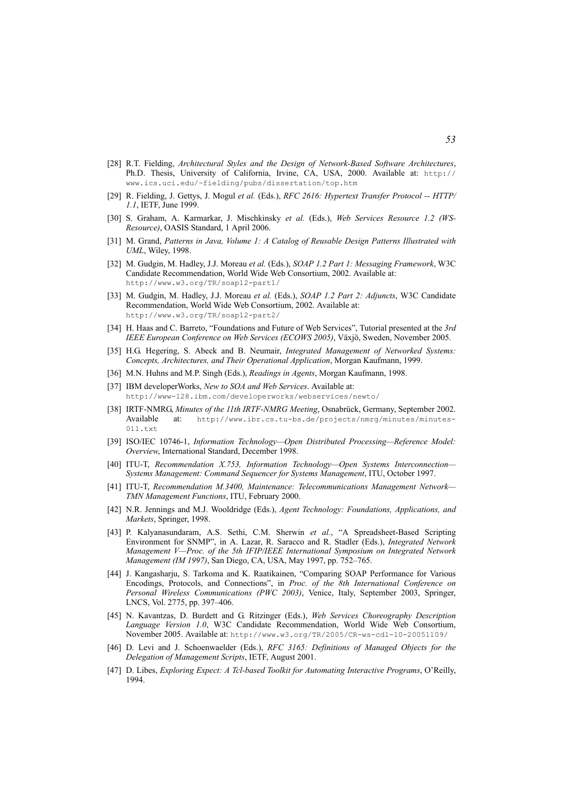- <span id="page-52-6"></span>[28] R.T. Fielding, *Architectural Styles and the Design of Network-Based Software Architectures*, Ph.D. Thesis, University of California, Irvine, CA, USA, 2000. Available at: http:// www.ics.uci.edu/~fielding/pubs/dissertation/top.htm
- <span id="page-52-4"></span>[29] R. Fielding, J. Gettys, J. Mogul *et al.* (Eds.), *RFC 2616: Hypertext Transfer Protocol -- HTTP/ 1.1*, IETF, June 1999.
- [30] S. Graham, A. Karmarkar, J. Mischkinsky *et al.* (Eds.), *Web Services Resource 1.2 (WS-Resource)*, OASIS Standard, 1 April 2006.
- <span id="page-52-2"></span>[31] M. Grand, *Patterns in Java, Volume 1: A Catalog of Reusable Design Patterns Illustrated with UML*, Wiley, 1998.
- [32] M. Gudgin, M. Hadley, J.J. Moreau *et al.* (Eds.), *SOAP 1.2 Part 1: Messaging Framework*, W3C Candidate Recommendation, World Wide Web Consortium, 2002. Available at: http://www.w3.org/TR/soap12-part1/
- [33] M. Gudgin, M. Hadley, J.J. Moreau *et al.* (Eds.), *SOAP 1.2 Part 2: Adjuncts*, W3C Candidate Recommendation, World Wide Web Consortium, 2002. Available at: http://www.w3.org/TR/soap12-part2/
- [34] H. Haas and C. Barreto, "Foundations and Future of Web Services", Tutorial presented at the *3rd IEEE European Conference on Web Services (ECOWS 2005)*, Växjö, Sweden, November 2005.
- [35] H.G. Hegering, S. Abeck and B. Neumair, *Integrated Management of Networked Systems: Concepts, Architectures, and Their Operational Application*, Morgan Kaufmann, 1999.
- <span id="page-52-11"></span>[36] M.N. Huhns and M.P. Singh (Eds.), *Readings in Agents*, Morgan Kaufmann, 1998.
- [37] IBM developerWorks, *New to SOA and Web Services*. Available at: http://www-128.ibm.com/developerworks/webservices/newto/
- [38] IRTF-NMRG, *Minutes of the 11th IRTF-NMRG Meeting*, Osnabrück, Germany, September 2002. Available at: http://www.ibr.cs.tu-bs.de/projects/nmrg/minutes/minutes-011.txt
- <span id="page-52-7"></span>[39] ISO/IEC 10746-1, *Information Technology—Open Distributed Processing—Reference Model: Overview*, International Standard, December 1998.
- <span id="page-52-10"></span>[40] ITU-T, *Recommendation X.753, Information Technology—Open Systems Interconnection— Systems Management: Command Sequencer for Systems Management*, ITU, October 1997.
- <span id="page-52-8"></span>[41] ITU-T, *Recommendation M.3400, Maintenance: Telecommunications Management Network— TMN Management Functions*, ITU, February 2000.
- [42] N.R. Jennings and M.J. Wooldridge (Eds.), *Agent Technology: Foundations, Applications, and Markets*, Springer, 1998.
- <span id="page-52-1"></span>[43] P. Kalyanasundaram, A.S. Sethi, C.M. Sherwin *et al.*, "A Spreadsheet-Based Scripting Environment for SNMP", in A. Lazar, R. Saracco and R. Stadler (Eds.), *Integrated Network Management V—Proc. of the 5th IFIP/IEEE International Symposium on Integrated Network Management (IM 1997)*, San Diego, CA, USA, May 1997, pp. 752–765.
- <span id="page-52-3"></span>[44] J. Kangasharju, S. Tarkoma and K. Raatikainen, "Comparing SOAP Performance for Various Encodings, Protocols, and Connections", in *Proc. of the 8th International Conference on Personal Wireless Communications (PWC 2003)*, Venice, Italy, September 2003, Springer, LNCS, Vol. 2775, pp. 397–406.
- <span id="page-52-5"></span>[45] N. Kavantzas, D. Burdett and G. Ritzinger (Eds.), *Web Services Choreography Description Language Version 1.0*, W3C Candidate Recommendation, World Wide Web Consortium, November 2005. Available at: http://www.w3.org/TR/2005/CR-ws-cdl-10-20051109/
- <span id="page-52-9"></span>[46] D. Levi and J. Schoenwaelder (Eds.), *RFC 3165: Definitions of Managed Objects for the Delegation of Management Scripts*, IETF, August 2001.
- <span id="page-52-0"></span>[47] D. Libes, *Exploring Expect: A Tcl-based Toolkit for Automating Interactive Programs*, O'Reilly, 1994.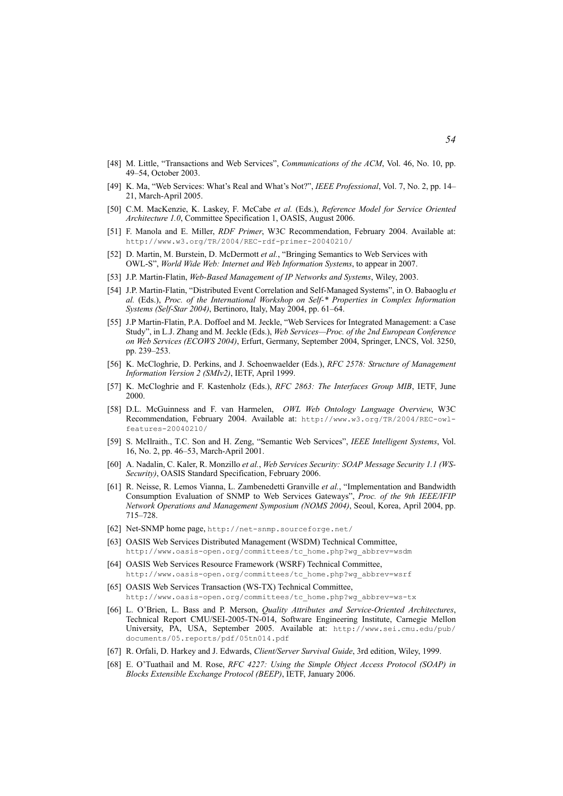- [48] M. Little, "Transactions and Web Services", *Communications of the ACM*, Vol. 46, No. 10, pp. 49–54, October 2003.
- [49] K. Ma, "Web Services: What's Real and What's Not?", *IEEE Professional*, Vol. 7, No. 2, pp. 14– 21, March-April 2005.
- <span id="page-53-9"></span>[50] C.M. MacKenzie, K. Laskey, F. McCabe *et al.* (Eds.), *Reference Model for Service Oriented Architecture 1.0*, Committee Specification 1, OASIS, August 2006.
- [51] F. Manola and E. Miller, *RDF Primer*, W3C Recommendation, February 2004. Available at: http://www.w3.org/TR/2004/REC-rdf-primer-20040210/
- <span id="page-53-5"></span>[52] D. Martin, M. Burstein, D. McDermott *et al.*, "Bringing Semantics to Web Services with OWL-S", *World Wide Web: Internet and Web Information Systems*, to appear in 2007.
- [53] J.P. Martin-Flatin, *Web-Based Management of IP Networks and Systems*, Wiley, 2003.
- <span id="page-53-1"></span>[54] J.P. Martin-Flatin, "Distributed Event Correlation and Self-Managed Systems", in O. Babaoglu *et al.* (Eds.), *Proc. of the International Workshop on Self-\* Properties in Complex Information Systems (Self-Star 2004)*, Bertinoro, Italy, May 2004, pp. 61–64.
- [55] J.P Martin-Flatin, P.A. Doffoel and M. Jeckle, "Web Services for Integrated Management: a Case Study", in L.J. Zhang and M. Jeckle (Eds.), *Web Services—Proc. of the 2nd European Conference on Web Services (ECOWS 2004)*, Erfurt, Germany, September 2004, Springer, LNCS, Vol. 3250, pp. 239–253.
- [56] K. McCloghrie, D. Perkins, and J. Schoenwaelder (Eds.), *RFC 2578: Structure of Management Information Version 2 (SMIv2)*, IETF, April 1999.
- [57] K. McCloghrie and F. Kastenholz (Eds.), *RFC 2863: The Interfaces Group MIB*, IETF, June 2000.
- <span id="page-53-3"></span>[58] D.L. McGuinness and F. van Harmelen, *OWL Web Ontology Language Overview*, W3C Recommendation, February 2004. Available at: http://www.w3.org/TR/2004/REC-owlfeatures-20040210/
- <span id="page-53-4"></span>[59] S. McIlraith., T.C. Son and H. Zeng, "Semantic Web Services", *IEEE Intelligent Systems*, Vol. 16, No. 2, pp. 46–53, March-April 2001.
- [60] A. Nadalin, C. Kaler, R. Monzillo *et al.*, *Web Services Security: SOAP Message Security 1.1 (WS-Security)*, OASIS Standard Specification, February 2006.
- [61] R. Neisse, R. Lemos Vianna, L. Zambenedetti Granville *et al.*, "Implementation and Bandwidth Consumption Evaluation of SNMP to Web Services Gateways", *Proc. of the 9th IEEE/IFIP Network Operations and Management Symposium (NOMS 2004)*, Seoul, Korea, April 2004, pp. 715–728.
- <span id="page-53-8"></span>[62] Net-SNMP home page, http://net-snmp.sourceforge.net/
- <span id="page-53-6"></span>[63] OASIS Web Services Distributed Management (WSDM) Technical Committee, http://www.oasis-open.org/committees/tc\_home.php?wg\_abbrev=wsdm
- <span id="page-53-7"></span>[64] OASIS Web Services Resource Framework (WSRF) Technical Committee, http://www.oasis-open.org/committees/tc\_home.php?wg\_abbrev=wsrf
- <span id="page-53-2"></span>[65] OASIS Web Services Transaction (WS-TX) Technical Committee, http://www.oasis-open.org/committees/tc\_home.php?wg\_abbrev=ws-tx
- <span id="page-53-10"></span>[66] L. O'Brien, L. Bass and P. Merson, *Quality Attributes and Service-Oriented Architectures*, Technical Report CMU/SEI-2005-TN-014, Software Engineering Institute, Carnegie Mellon University, PA, USA, September 2005. Available at: http://www.sei.cmu.edu/pub/ documents/05.reports/pdf/05tn014.pdf
- [67] R. Orfali, D. Harkey and J. Edwards, *Client/Server Survival Guide*, 3rd edition, Wiley, 1999.
- <span id="page-53-0"></span>[68] E. O'Tuathail and M. Rose, *RFC 4227: Using the Simple Object Access Protocol (SOAP) in Blocks Extensible Exchange Protocol (BEEP)*, IETF, January 2006.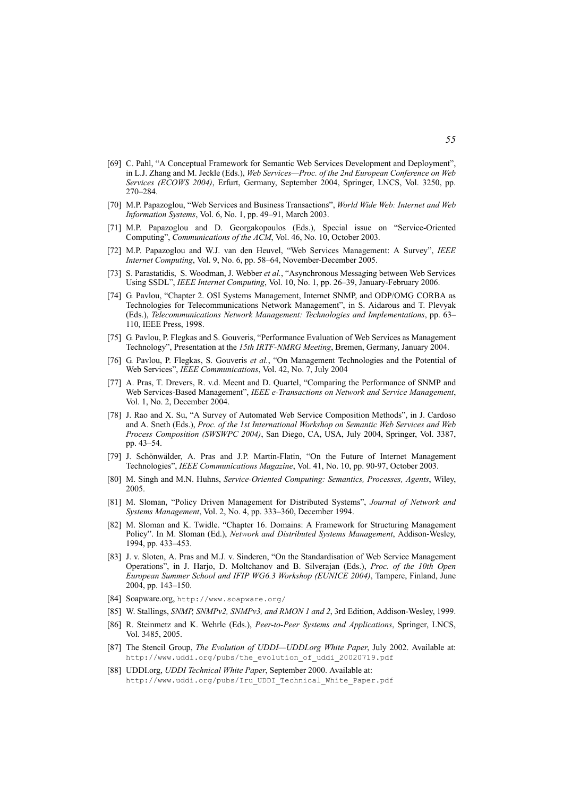- [69] C. Pahl, "A Conceptual Framework for Semantic Web Services Development and Deployment", in L.J. Zhang and M. Jeckle (Eds.), *Web Services—Proc. of the 2nd European Conference on Web Services (ECOWS 2004)*, Erfurt, Germany, September 2004, Springer, LNCS, Vol. 3250, pp. 270–284.
- <span id="page-54-1"></span>[70] M.P. Papazoglou, "Web Services and Business Transactions", *World Wide Web: Internet and Web Information Systems*, Vol. 6, No. 1, pp. 49–91, March 2003.
- [71] M.P. Papazoglou and D. Georgakopoulos (Eds.), Special issue on "Service-Oriented Computing", *Communications of the ACM*, Vol. 46, No. 10, October 2003.
- <span id="page-54-4"></span>[72] M.P. Papazoglou and W.J. van den Heuvel, "Web Services Management: A Survey", *IEEE Internet Computing*, Vol. 9, No. 6, pp. 58–64, November-December 2005.
- <span id="page-54-0"></span>[73] S. Parastatidis, S. Woodman, J. Webber *et al.*, "Asynchronous Messaging between Web Services Using SSDL", *IEEE Internet Computing*, Vol. 10, No. 1, pp. 26–39, January-February 2006.
- [74] G. Pavlou, "Chapter 2. OSI Systems Management, Internet SNMP, and ODP/OMG CORBA as Technologies for Telecommunications Network Management", in S. Aidarous and T. Plevyak (Eds.), *Telecommunications Network Management: Technologies and Implementations*, pp. 63– 110, IEEE Press, 1998.
- [75] G. Pavlou, P. Flegkas and S. Gouveris, "Performance Evaluation of Web Services as Management Technology", Presentation at the *15th IRTF-NMRG Meeting*, Bremen, Germany, January 2004.
- [76] G. Pavlou, P. Flegkas, S. Gouveris *et al.*, "On Management Technologies and the Potential of Web Services", *IEEE Communications*, Vol. 42, No. 7, July 2004
- [77] A. Pras, T. Drevers, R. v.d. Meent and D. Quartel, "Comparing the Performance of SNMP and Web Services-Based Management", *IEEE e-Transactions on Network and Service Management*, Vol. 1, No. 2, December 2004.
- [78] J. Rao and X. Su, "A Survey of Automated Web Service Composition Methods", in J. Cardoso and A. Sneth (Eds.), *Proc. of the 1st International Workshop on Semantic Web Services and Web Process Composition (SWSWPC 2004)*, San Diego, CA, USA, July 2004, Springer, Vol. 3387, pp. 43–54.
- [79] J. Schönwälder, A. Pras and J.P. Martin-Flatin, "On the Future of Internet Management Technologies", *IEEE Communications Magazine*, Vol. 41, No. 10, pp. 90-97, October 2003.
- <span id="page-54-3"></span>[80] M. Singh and M.N. Huhns, *Service-Oriented Computing: Semantics, Processes, Agents*, Wiley, 2005.
- <span id="page-54-5"></span>[81] M. Sloman, "Policy Driven Management for Distributed Systems", *Journal of Network and Systems Management*, Vol. 2, No. 4, pp. 333–360, December 1994.
- [82] M. Sloman and K. Twidle. "Chapter 16. Domains: A Framework for Structuring Management Policy". In M. Sloman (Ed.), *Network and Distributed Systems Management*, Addison-Wesley, 1994, pp. 433–453.
- <span id="page-54-2"></span>[83] J. v. Sloten, A. Pras and M.J. v. Sinderen, "On the Standardisation of Web Service Management Operations", in J. Harjo, D. Moltchanov and B. Silverajan (Eds.), *Proc. of the 10th Open European Summer School and IFIP WG6.3 Workshop (EUNICE 2004)*, Tampere, Finland, June 2004, pp. 143–150.
- [84] Soapware.org, http://www.soapware.org/
- [85] W. Stallings, *SNMP, SNMPv2, SNMPv3, and RMON 1 and 2*, 3rd Edition, Addison-Wesley, 1999.
- [86] R. Steinmetz and K. Wehrle (Eds.), *Peer-to-Peer Systems and Applications*, Springer, LNCS, Vol. 3485, 2005.
- [87] The Stencil Group, *The Evolution of UDDI—UDDI.org White Paper*, July 2002. Available at: http://www.uddi.org/pubs/the\_evolution\_of\_uddi\_20020719.pdf
- [88] UDDI.org, *UDDI Technical White Paper*, September 2000. Available at: http://www.uddi.org/pubs/Iru\_UDDI\_Technical\_White\_Paper.pdf